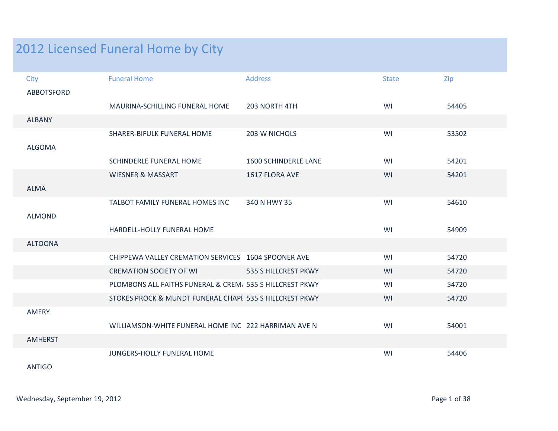## 2012 Licensed Funeral Home by City

| City              | <b>Funeral Home</b>                                      | <b>Address</b>       | <b>State</b> | Zip   |
|-------------------|----------------------------------------------------------|----------------------|--------------|-------|
| <b>ABBOTSFORD</b> |                                                          |                      |              |       |
|                   | MAURINA-SCHILLING FUNERAL HOME                           | 203 NORTH 4TH        | WI           | 54405 |
| <b>ALBANY</b>     |                                                          |                      |              |       |
|                   | SHARER-BIFULK FUNERAL HOME                               | 203 W NICHOLS        | WI           | 53502 |
| <b>ALGOMA</b>     |                                                          |                      |              |       |
|                   | SCHINDERLE FUNERAL HOME                                  | 1600 SCHINDERLE LANE | WI           | 54201 |
|                   | <b>WIESNER &amp; MASSART</b>                             | 1617 FLORA AVE       | WI           | 54201 |
| <b>ALMA</b>       |                                                          |                      |              |       |
|                   | TALBOT FAMILY FUNERAL HOMES INC                          | 340 N HWY 35         | WI           | 54610 |
| <b>ALMOND</b>     |                                                          |                      |              |       |
|                   | HARDELL-HOLLY FUNERAL HOME                               |                      | WI           | 54909 |
| <b>ALTOONA</b>    |                                                          |                      |              |       |
|                   | CHIPPEWA VALLEY CREMATION SERVICES 1604 SPOONER AVE      |                      | WI           | 54720 |
|                   | <b>CREMATION SOCIETY OF WI</b>                           | 535 S HILLCREST PKWY | WI           | 54720 |
|                   | PLOMBONS ALL FAITHS FUNERAL & CREM. 535 S HILLCREST PKWY |                      | WI           | 54720 |
|                   | STOKES PROCK & MUNDT FUNERAL CHAPI 535 S HILLCREST PKWY  |                      | WI           | 54720 |
| AMERY             |                                                          |                      |              |       |
|                   | WILLIAMSON-WHITE FUNERAL HOME INC 222 HARRIMAN AVE N     |                      | WI           | 54001 |
| <b>AMHERST</b>    |                                                          |                      |              |       |
|                   | JUNGERS-HOLLY FUNERAL HOME                               |                      | WI           | 54406 |

ANTIGO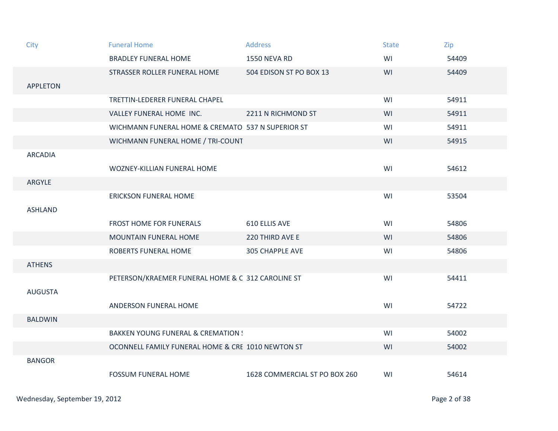| City            | <b>Funeral Home</b>                               | <b>Address</b>                | <b>State</b> | Zip   |
|-----------------|---------------------------------------------------|-------------------------------|--------------|-------|
|                 | <b>BRADLEY FUNERAL HOME</b>                       | <b>1550 NEVA RD</b>           | WI           | 54409 |
|                 | STRASSER ROLLER FUNERAL HOME                      | 504 EDISON ST PO BOX 13       | WI           | 54409 |
| <b>APPLETON</b> |                                                   |                               |              |       |
|                 | TRETTIN-LEDERER FUNERAL CHAPEL                    |                               | WI           | 54911 |
|                 | VALLEY FUNERAL HOME INC.                          | 2211 N RICHMOND ST            | WI           | 54911 |
|                 | WICHMANN FUNERAL HOME & CREMATO 537 N SUPERIOR ST |                               | WI           | 54911 |
|                 | WICHMANN FUNERAL HOME / TRI-COUNT                 |                               | WI           | 54915 |
| <b>ARCADIA</b>  |                                                   |                               |              |       |
|                 | WOZNEY-KILLIAN FUNERAL HOME                       |                               | WI           | 54612 |
| ARGYLE          |                                                   |                               |              |       |
|                 | <b>ERICKSON FUNERAL HOME</b>                      |                               | WI           | 53504 |
| <b>ASHLAND</b>  |                                                   |                               |              |       |
|                 | <b>FROST HOME FOR FUNERALS</b>                    | 610 ELLIS AVE                 | WI           | 54806 |
|                 | <b>MOUNTAIN FUNERAL HOME</b>                      | 220 THIRD AVE E               | WI           | 54806 |
|                 | ROBERTS FUNERAL HOME                              | <b>305 CHAPPLE AVE</b>        | WI           | 54806 |
| <b>ATHENS</b>   |                                                   |                               |              |       |
|                 | PETERSON/KRAEMER FUNERAL HOME & C 312 CAROLINE ST |                               | WI           | 54411 |
| <b>AUGUSTA</b>  |                                                   |                               |              |       |
|                 | ANDERSON FUNERAL HOME                             |                               | WI           | 54722 |
| <b>BALDWIN</b>  |                                                   |                               |              |       |
|                 | <b>BAKKEN YOUNG FUNERAL &amp; CREMATION:</b>      |                               | WI           | 54002 |
|                 | OCONNELL FAMILY FUNERAL HOME & CRE 1010 NEWTON ST |                               | WI           | 54002 |
| <b>BANGOR</b>   |                                                   |                               |              |       |
|                 | <b>FOSSUM FUNERAL HOME</b>                        | 1628 COMMERCIAL ST PO BOX 260 | WI           | 54614 |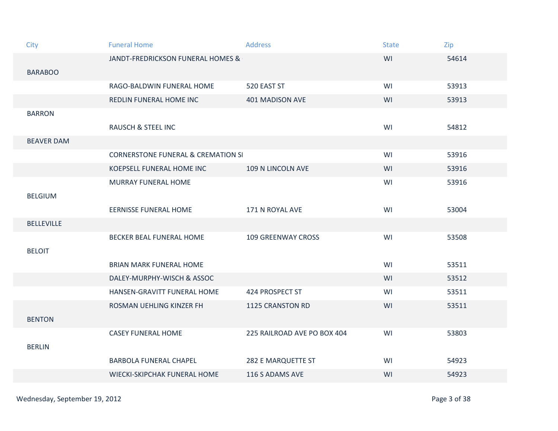| City              | <b>Funeral Home</b>                           | <b>Address</b>              | <b>State</b> | Zip   |
|-------------------|-----------------------------------------------|-----------------------------|--------------|-------|
|                   | JANDT-FREDRICKSON FUNERAL HOMES &             |                             | WI           | 54614 |
| <b>BARABOO</b>    |                                               |                             |              |       |
|                   | RAGO-BALDWIN FUNERAL HOME                     | 520 EAST ST                 | WI           | 53913 |
|                   | REDLIN FUNERAL HOME INC                       | <b>401 MADISON AVE</b>      | WI           | 53913 |
| <b>BARRON</b>     |                                               |                             |              |       |
|                   | <b>RAUSCH &amp; STEEL INC</b>                 |                             | WI           | 54812 |
| <b>BEAVER DAM</b> |                                               |                             |              |       |
|                   | <b>CORNERSTONE FUNERAL &amp; CREMATION SI</b> |                             | WI           | 53916 |
|                   | KOEPSELL FUNERAL HOME INC                     | 109 N LINCOLN AVE           | WI           | 53916 |
|                   | MURRAY FUNERAL HOME                           |                             | WI           | 53916 |
| <b>BELGIUM</b>    |                                               |                             |              |       |
|                   | <b>EERNISSE FUNERAL HOME</b>                  | 171 N ROYAL AVE             | WI           | 53004 |
| <b>BELLEVILLE</b> |                                               |                             |              |       |
|                   | BECKER BEAL FUNERAL HOME                      | <b>109 GREENWAY CROSS</b>   | WI           | 53508 |
| <b>BELOIT</b>     |                                               |                             |              |       |
|                   | <b>BRIAN MARK FUNERAL HOME</b>                |                             | WI           | 53511 |
|                   | DALEY-MURPHY-WISCH & ASSOC                    |                             | WI           | 53512 |
|                   | HANSEN-GRAVITT FUNERAL HOME                   | 424 PROSPECT ST             | WI           | 53511 |
|                   | ROSMAN UEHLING KINZER FH                      | <b>1125 CRANSTON RD</b>     | WI           | 53511 |
| <b>BENTON</b>     |                                               |                             |              |       |
|                   | <b>CASEY FUNERAL HOME</b>                     | 225 RAILROAD AVE PO BOX 404 | WI           | 53803 |
| <b>BERLIN</b>     |                                               |                             |              |       |
|                   | <b>BARBOLA FUNERAL CHAPEL</b>                 | 282 E MARQUETTE ST          | WI           | 54923 |
|                   | WIECKI-SKIPCHAK FUNERAL HOME                  | 116 S ADAMS AVE             | WI           | 54923 |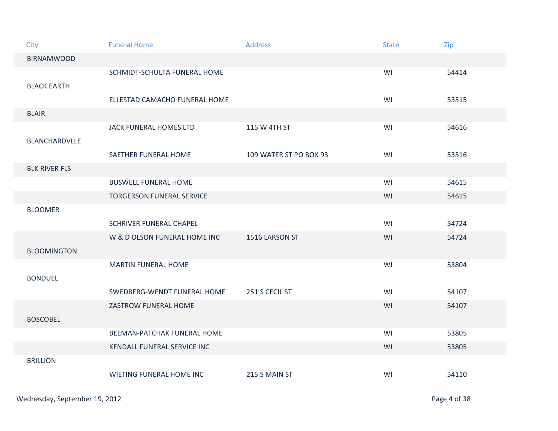| City                 | <b>Funeral Home</b>              | <b>Address</b>         | <b>State</b> | Zip   |
|----------------------|----------------------------------|------------------------|--------------|-------|
| <b>BIRNAMWOOD</b>    |                                  |                        |              |       |
|                      | SCHMIDT-SCHULTA FUNERAL HOME     |                        | WI           | 54414 |
| <b>BLACK EARTH</b>   | ELLESTAD CAMACHO FUNERAL HOME    |                        | WI           | 53515 |
| <b>BLAIR</b>         |                                  |                        |              |       |
| <b>BLANCHARDVLLE</b> | JACK FUNERAL HOMES LTD           | 115 W 4TH ST           | WI           | 54616 |
|                      | SAETHER FUNERAL HOME             | 109 WATER ST PO BOX 93 | WI           | 53516 |
| <b>BLK RIVER FLS</b> |                                  |                        |              |       |
|                      | <b>BUSWELL FUNERAL HOME</b>      |                        | WI           | 54615 |
|                      | <b>TORGERSON FUNERAL SERVICE</b> |                        | WI           | 54615 |
| <b>BLOOMER</b>       |                                  |                        |              |       |
|                      | SCHRIVER FUNERAL CHAPEL          |                        | WI           | 54724 |
|                      | W & D OLSON FUNERAL HOME INC     | 1516 LARSON ST         | WI           | 54724 |
| <b>BLOOMINGTON</b>   |                                  |                        |              |       |
|                      | <b>MARTIN FUNERAL HOME</b>       |                        | WI           | 53804 |
| <b>BONDUEL</b>       |                                  |                        |              |       |
|                      | SWEDBERG-WENDT FUNERAL HOME      | 251 S CECIL ST         | WI           | 54107 |
|                      | ZASTROW FUNERAL HOME             |                        | WI           | 54107 |
| <b>BOSCOBEL</b>      |                                  |                        |              |       |
|                      | BEEMAN-PATCHAK FUNERAL HOME      |                        | WI           | 53805 |
|                      | KENDALL FUNERAL SERVICE INC      |                        | WI           | 53805 |
| <b>BRILLION</b>      |                                  |                        |              |       |
|                      | WIETING FUNERAL HOME INC         | 215 S MAIN ST          | WI           | 54110 |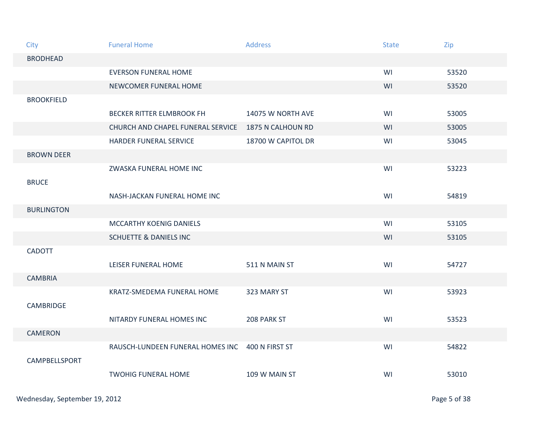| City              | <b>Funeral Home</b>               | <b>Address</b>     | <b>State</b> | Zip   |
|-------------------|-----------------------------------|--------------------|--------------|-------|
| <b>BRODHEAD</b>   |                                   |                    |              |       |
|                   | <b>EVERSON FUNERAL HOME</b>       |                    | WI           | 53520 |
|                   | NEWCOMER FUNERAL HOME             |                    | WI           | 53520 |
| <b>BROOKFIELD</b> |                                   |                    |              |       |
|                   | <b>BECKER RITTER ELMBROOK FH</b>  | 14075 W NORTH AVE  | WI           | 53005 |
|                   | CHURCH AND CHAPEL FUNERAL SERVICE | 1875 N CALHOUN RD  | WI           | 53005 |
|                   | HARDER FUNERAL SERVICE            | 18700 W CAPITOL DR | WI           | 53045 |
| <b>BROWN DEER</b> |                                   |                    |              |       |
|                   | ZWASKA FUNERAL HOME INC           |                    | WI           | 53223 |
| <b>BRUCE</b>      |                                   |                    |              |       |
|                   | NASH-JACKAN FUNERAL HOME INC      |                    | WI           | 54819 |
| <b>BURLINGTON</b> |                                   |                    |              |       |
|                   | <b>MCCARTHY KOENIG DANIELS</b>    |                    | WI           | 53105 |
|                   | <b>SCHUETTE &amp; DANIELS INC</b> |                    | WI           | 53105 |
| <b>CADOTT</b>     |                                   |                    |              |       |
|                   | LEISER FUNERAL HOME               | 511 N MAIN ST      | WI           | 54727 |
| <b>CAMBRIA</b>    |                                   |                    |              |       |
|                   | KRATZ-SMEDEMA FUNERAL HOME        | 323 MARY ST        | WI           | 53923 |
| <b>CAMBRIDGE</b>  |                                   |                    |              |       |
|                   | NITARDY FUNERAL HOMES INC         | 208 PARK ST        | WI           | 53523 |
| <b>CAMERON</b>    |                                   |                    |              |       |
|                   | RAUSCH-LUNDEEN FUNERAL HOMES INC  | 400 N FIRST ST     | WI           | 54822 |
| CAMPBELLSPORT     |                                   |                    |              |       |
|                   | <b>TWOHIG FUNERAL HOME</b>        | 109 W MAIN ST      | WI           | 53010 |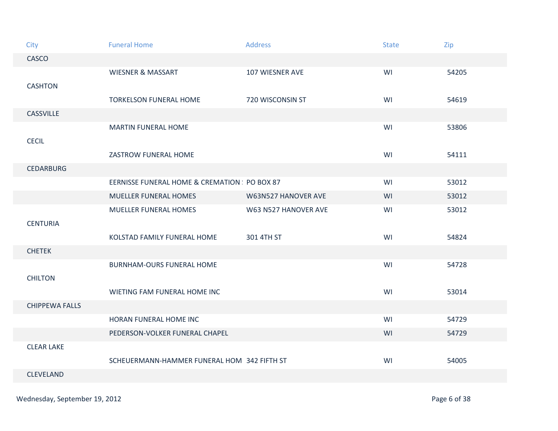| City                  | <b>Funeral Home</b>                         | <b>Address</b>       | <b>State</b> | Zip   |
|-----------------------|---------------------------------------------|----------------------|--------------|-------|
| CASCO                 |                                             |                      |              |       |
|                       | <b>WIESNER &amp; MASSART</b>                | 107 WIESNER AVE      | WI           | 54205 |
| <b>CASHTON</b>        |                                             |                      |              |       |
|                       | <b>TORKELSON FUNERAL HOME</b>               | 720 WISCONSIN ST     | WI           | 54619 |
| CASSVILLE             |                                             |                      |              |       |
|                       | <b>MARTIN FUNERAL HOME</b>                  |                      | WI           | 53806 |
| <b>CECIL</b>          |                                             |                      |              |       |
|                       | ZASTROW FUNERAL HOME                        |                      | WI           | 54111 |
| <b>CEDARBURG</b>      |                                             |                      |              |       |
|                       | EERNISSE FUNERAL HOME & CREMATION PO BOX 87 |                      | WI           | 53012 |
|                       | MUELLER FUNERAL HOMES                       | W63N527 HANOVER AVE  | WI           | 53012 |
|                       | <b>MUELLER FUNERAL HOMES</b>                | W63 N527 HANOVER AVE | WI           | 53012 |
| <b>CENTURIA</b>       |                                             |                      |              |       |
|                       | KOLSTAD FAMILY FUNERAL HOME                 | 301 4TH ST           | WI           | 54824 |
| <b>CHETEK</b>         |                                             |                      |              |       |
|                       | <b>BURNHAM-OURS FUNERAL HOME</b>            |                      | WI           | 54728 |
| <b>CHILTON</b>        |                                             |                      |              |       |
|                       | WIETING FAM FUNERAL HOME INC                |                      | WI           | 53014 |
| <b>CHIPPEWA FALLS</b> |                                             |                      |              |       |
|                       | HORAN FUNERAL HOME INC                      |                      | WI           | 54729 |
|                       | PEDERSON-VOLKER FUNERAL CHAPEL              |                      | WI           | 54729 |
| <b>CLEAR LAKE</b>     |                                             |                      |              |       |
|                       | SCHEUERMANN-HAMMER FUNERAL HOM 342 FIFTH ST |                      | WI           | 54005 |
| <b>CLEVELAND</b>      |                                             |                      |              |       |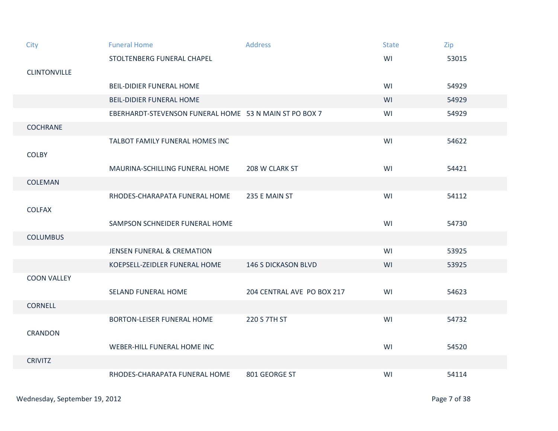| City                | <b>Funeral Home</b>                                    | <b>Address</b>             | <b>State</b> | Zip   |
|---------------------|--------------------------------------------------------|----------------------------|--------------|-------|
|                     | STOLTENBERG FUNERAL CHAPEL                             |                            | WI           | 53015 |
| <b>CLINTONVILLE</b> |                                                        |                            |              |       |
|                     | <b>BEIL-DIDIER FUNERAL HOME</b>                        |                            | WI           | 54929 |
|                     | <b>BEIL-DIDIER FUNERAL HOME</b>                        |                            | WI           | 54929 |
|                     | EBERHARDT-STEVENSON FUNERAL HOME 53 N MAIN ST PO BOX 7 |                            | WI           | 54929 |
| <b>COCHRANE</b>     |                                                        |                            |              |       |
|                     | TALBOT FAMILY FUNERAL HOMES INC                        |                            | WI           | 54622 |
| <b>COLBY</b>        |                                                        |                            |              |       |
|                     | MAURINA-SCHILLING FUNERAL HOME                         | 208 W CLARK ST             | WI           | 54421 |
| <b>COLEMAN</b>      |                                                        |                            |              |       |
|                     | RHODES-CHARAPATA FUNERAL HOME                          | 235 E MAIN ST              | WI           | 54112 |
| <b>COLFAX</b>       |                                                        |                            |              |       |
|                     | SAMPSON SCHNEIDER FUNERAL HOME                         |                            | WI           | 54730 |
| <b>COLUMBUS</b>     |                                                        |                            |              |       |
|                     | <b>JENSEN FUNERAL &amp; CREMATION</b>                  |                            | WI           | 53925 |
|                     | KOEPSELL-ZEIDLER FUNERAL HOME                          | <b>146 S DICKASON BLVD</b> | WI           | 53925 |
| <b>COON VALLEY</b>  |                                                        |                            |              |       |
|                     | <b>SELAND FUNERAL HOME</b>                             | 204 CENTRAL AVE PO BOX 217 | WI           | 54623 |
| <b>CORNELL</b>      |                                                        |                            |              |       |
|                     | <b>BORTON-LEISER FUNERAL HOME</b>                      | 220 S 7TH ST               | WI           | 54732 |
| <b>CRANDON</b>      |                                                        |                            |              |       |
|                     | WEBER-HILL FUNERAL HOME INC                            |                            | WI           | 54520 |
| <b>CRIVITZ</b>      |                                                        |                            |              |       |
|                     | RHODES-CHARAPATA FUNERAL HOME                          | 801 GEORGE ST              | WI           | 54114 |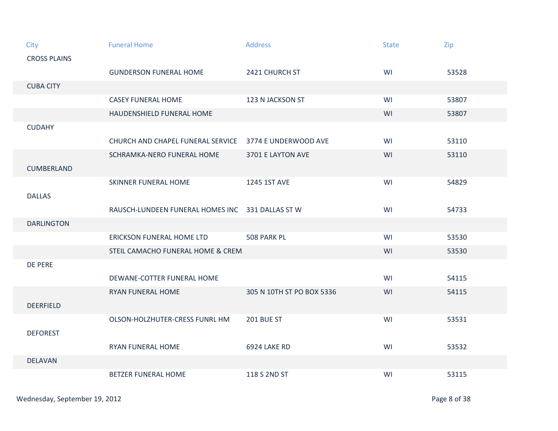| City                | <b>Funeral Home</b>                              | <b>Address</b>            | <b>State</b> | Zip   |
|---------------------|--------------------------------------------------|---------------------------|--------------|-------|
| <b>CROSS PLAINS</b> |                                                  |                           |              |       |
|                     | <b>GUNDERSON FUNERAL HOME</b>                    | 2421 CHURCH ST            | WI           | 53528 |
| <b>CUBA CITY</b>    |                                                  |                           |              |       |
|                     | <b>CASEY FUNERAL HOME</b>                        | 123 N JACKSON ST          | WI           | 53807 |
|                     | HAUDENSHIELD FUNERAL HOME                        |                           | WI           | 53807 |
| <b>CUDAHY</b>       |                                                  |                           |              |       |
|                     | CHURCH AND CHAPEL FUNERAL SERVICE                | 3774 E UNDERWOOD AVE      | WI           | 53110 |
|                     | SCHRAMKA-NERO FUNERAL HOME                       | 3701 E LAYTON AVE         | WI           | 53110 |
| <b>CUMBERLAND</b>   |                                                  |                           |              |       |
|                     | SKINNER FUNERAL HOME                             | 1245 1ST AVE              | WI           | 54829 |
| <b>DALLAS</b>       |                                                  |                           |              |       |
|                     | RAUSCH-LUNDEEN FUNERAL HOMES INC 331 DALLAS ST W |                           | WI           | 54733 |
| <b>DARLINGTON</b>   |                                                  |                           |              |       |
|                     | ERICKSON FUNERAL HOME LTD                        | 508 PARK PL               | WI           | 53530 |
|                     | STEIL CAMACHO FUNERAL HOME & CREM                |                           | WI           | 53530 |
| DE PERE             |                                                  |                           |              |       |
|                     | DEWANE-COTTER FUNERAL HOME                       |                           | WI           | 54115 |
|                     | RYAN FUNERAL HOME                                | 305 N 10TH ST PO BOX 5336 | WI           | 54115 |
| <b>DEERFIELD</b>    |                                                  |                           |              |       |
|                     | OLSON-HOLZHUTER-CRESS FUNRL HM                   | <b>201 BUE ST</b>         | WI           | 53531 |
| <b>DEFOREST</b>     |                                                  |                           |              |       |
|                     | <b>RYAN FUNERAL HOME</b>                         | 6924 LAKE RD              | WI           | 53532 |
| <b>DELAVAN</b>      |                                                  |                           |              |       |
|                     | <b>BETZER FUNERAL HOME</b>                       | 118 S 2ND ST              | WI           | 53115 |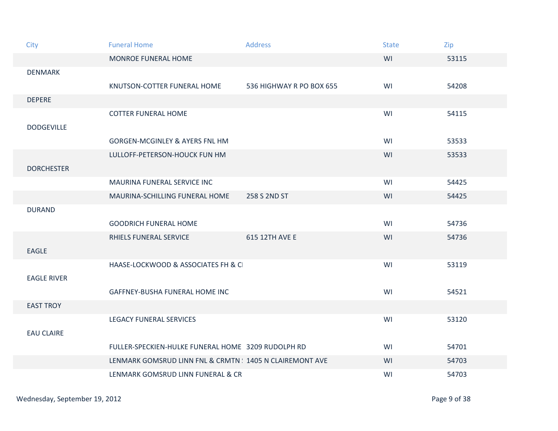| City               | <b>Funeral Home</b>                                      | <b>Address</b>           | <b>State</b> | Zip   |
|--------------------|----------------------------------------------------------|--------------------------|--------------|-------|
|                    | MONROE FUNERAL HOME                                      |                          | WI           | 53115 |
| <b>DENMARK</b>     |                                                          |                          |              |       |
|                    | KNUTSON-COTTER FUNERAL HOME                              | 536 HIGHWAY R PO BOX 655 | WI           | 54208 |
| <b>DEPERE</b>      |                                                          |                          |              |       |
| <b>DODGEVILLE</b>  | <b>COTTER FUNERAL HOME</b>                               |                          | WI           | 54115 |
|                    | <b>GORGEN-MCGINLEY &amp; AYERS FNL HM</b>                |                          | WI           | 53533 |
|                    | LULLOFF-PETERSON-HOUCK FUN HM                            |                          | WI           | 53533 |
| <b>DORCHESTER</b>  |                                                          |                          |              |       |
|                    | MAURINA FUNERAL SERVICE INC                              |                          | WI           | 54425 |
|                    | MAURINA-SCHILLING FUNERAL HOME                           | 258 S 2ND ST             | WI           | 54425 |
| <b>DURAND</b>      |                                                          |                          |              |       |
|                    | <b>GOODRICH FUNERAL HOME</b>                             |                          | WI           | 54736 |
|                    | RHIELS FUNERAL SERVICE                                   | 615 12TH AVE E           | WI           | 54736 |
| <b>EAGLE</b>       |                                                          |                          |              |       |
|                    | HAASE-LOCKWOOD & ASSOCIATES FH & C                       |                          | WI           | 53119 |
| <b>EAGLE RIVER</b> |                                                          |                          |              |       |
|                    | GAFFNEY-BUSHA FUNERAL HOME INC                           |                          | WI           | 54521 |
| <b>EAST TROY</b>   |                                                          |                          |              |       |
|                    | <b>LEGACY FUNERAL SERVICES</b>                           |                          | WI           | 53120 |
| <b>EAU CLAIRE</b>  |                                                          |                          |              |       |
|                    | FULLER-SPECKIEN-HULKE FUNERAL HOME 3209 RUDOLPH RD       |                          | WI           | 54701 |
|                    | LENMARK GOMSRUD LINN FNL & CRMTN : 1405 N CLAIREMONT AVE |                          | WI           | 54703 |
|                    | LENMARK GOMSRUD LINN FUNERAL & CR                        |                          | WI           | 54703 |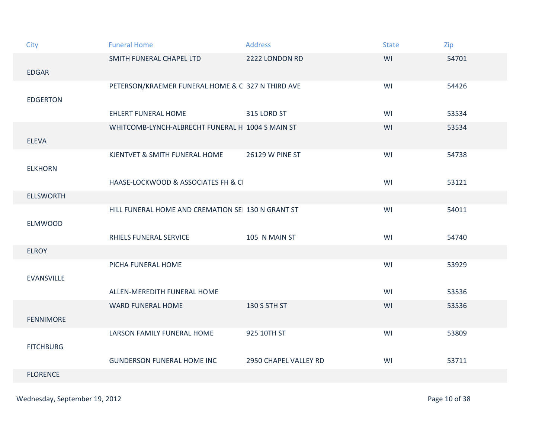| City              | <b>Funeral Home</b>                               | <b>Address</b>        | <b>State</b> | Zip   |
|-------------------|---------------------------------------------------|-----------------------|--------------|-------|
|                   | SMITH FUNERAL CHAPEL LTD                          | 2222 LONDON RD        | WI           | 54701 |
| <b>EDGAR</b>      |                                                   |                       |              |       |
| <b>EDGERTON</b>   | PETERSON/KRAEMER FUNERAL HOME & C 327 N THIRD AVE |                       | WI           | 54426 |
|                   | <b>EHLERT FUNERAL HOME</b>                        | 315 LORD ST           | WI           | 53534 |
| <b>ELEVA</b>      | WHITCOMB-LYNCH-ALBRECHT FUNERAL H 1004 S MAIN ST  |                       | WI           | 53534 |
| <b>ELKHORN</b>    | KJENTVET & SMITH FUNERAL HOME                     | 26129 W PINE ST       | WI           | 54738 |
|                   | HAASE-LOCKWOOD & ASSOCIATES FH & C                |                       | WI           | 53121 |
| <b>ELLSWORTH</b>  |                                                   |                       |              |       |
| <b>ELMWOOD</b>    | HILL FUNERAL HOME AND CREMATION SE 130 N GRANT ST |                       | WI           | 54011 |
|                   | RHIELS FUNERAL SERVICE                            | 105 N MAIN ST         | WI           | 54740 |
| <b>ELROY</b>      |                                                   |                       |              |       |
| <b>EVANSVILLE</b> | PICHA FUNERAL HOME                                |                       | WI           | 53929 |
|                   | ALLEN-MEREDITH FUNERAL HOME                       |                       | WI           | 53536 |
| <b>FENNIMORE</b>  | <b>WARD FUNERAL HOME</b>                          | 130 S 5TH ST          | WI           | 53536 |
| <b>FITCHBURG</b>  | LARSON FAMILY FUNERAL HOME                        | 925 10TH ST           | WI           | 53809 |
|                   | <b>GUNDERSON FUNERAL HOME INC</b>                 | 2950 CHAPEL VALLEY RD | WI           | 53711 |
| <b>FLORENCE</b>   |                                                   |                       |              |       |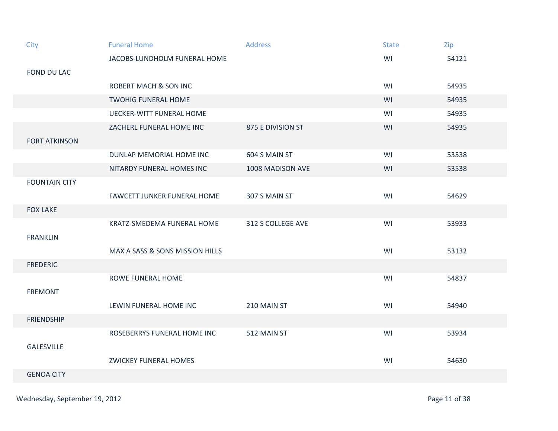| City                 | <b>Funeral Home</b>                | <b>Address</b>    | <b>State</b> | Zip   |
|----------------------|------------------------------------|-------------------|--------------|-------|
|                      | JACOBS-LUNDHOLM FUNERAL HOME       |                   | WI           | 54121 |
| <b>FOND DU LAC</b>   |                                    |                   |              |       |
|                      | <b>ROBERT MACH &amp; SON INC</b>   |                   | WI           | 54935 |
|                      | <b>TWOHIG FUNERAL HOME</b>         |                   | WI           | 54935 |
|                      | <b>UECKER-WITT FUNERAL HOME</b>    |                   | WI           | 54935 |
|                      | ZACHERL FUNERAL HOME INC           | 875 E DIVISION ST | WI           | 54935 |
| <b>FORT ATKINSON</b> |                                    |                   |              |       |
|                      | DUNLAP MEMORIAL HOME INC           | 604 S MAIN ST     | WI           | 53538 |
|                      | NITARDY FUNERAL HOMES INC          | 1008 MADISON AVE  | WI           | 53538 |
| <b>FOUNTAIN CITY</b> |                                    |                   |              |       |
|                      | <b>FAWCETT JUNKER FUNERAL HOME</b> | 307 S MAIN ST     | WI           | 54629 |
| <b>FOX LAKE</b>      |                                    |                   |              |       |
|                      | KRATZ-SMEDEMA FUNERAL HOME         | 312 S COLLEGE AVE | WI           | 53933 |
| <b>FRANKLIN</b>      |                                    |                   |              |       |
|                      | MAX A SASS & SONS MISSION HILLS    |                   | WI           | 53132 |
| <b>FREDERIC</b>      |                                    |                   |              |       |
|                      | ROWE FUNERAL HOME                  |                   | WI           | 54837 |
| <b>FREMONT</b>       |                                    |                   |              |       |
|                      | LEWIN FUNERAL HOME INC             | 210 MAIN ST       | WI           | 54940 |
| <b>FRIENDSHIP</b>    |                                    |                   |              |       |
|                      | ROSEBERRYS FUNERAL HOME INC        | 512 MAIN ST       | WI           | 53934 |
| <b>GALESVILLE</b>    |                                    |                   |              |       |
|                      | <b>ZWICKEY FUNERAL HOMES</b>       |                   | WI           | 54630 |
| <b>GENOA CITY</b>    |                                    |                   |              |       |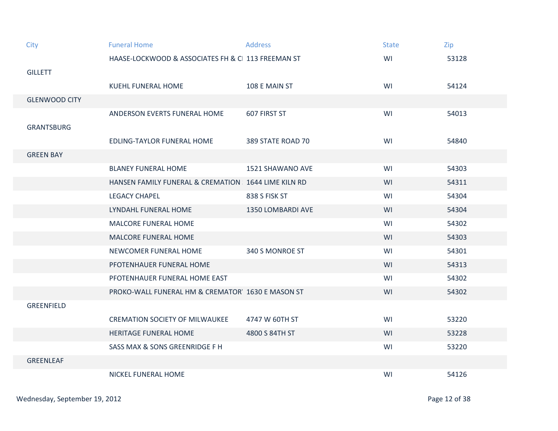| City                 | <b>Funeral Home</b>                                 | <b>Address</b>    | <b>State</b> | Zip   |
|----------------------|-----------------------------------------------------|-------------------|--------------|-------|
|                      | HAASE-LOCKWOOD & ASSOCIATES FH & C 113 FREEMAN ST   |                   | WI           | 53128 |
| <b>GILLETT</b>       |                                                     |                   |              |       |
|                      | <b>KUEHL FUNERAL HOME</b>                           | 108 E MAIN ST     | WI           | 54124 |
| <b>GLENWOOD CITY</b> |                                                     |                   |              |       |
|                      | ANDERSON EVERTS FUNERAL HOME                        | 607 FIRST ST      | WI           | 54013 |
| <b>GRANTSBURG</b>    |                                                     |                   |              |       |
|                      | <b>EDLING-TAYLOR FUNERAL HOME</b>                   | 389 STATE ROAD 70 | WI           | 54840 |
| <b>GREEN BAY</b>     |                                                     |                   |              |       |
|                      | <b>BLANEY FUNERAL HOME</b>                          | 1521 SHAWANO AVE  | WI           | 54303 |
|                      | HANSEN FAMILY FUNERAL & CREMATION 1644 LIME KILN RD |                   | WI           | 54311 |
|                      | <b>LEGACY CHAPEL</b>                                | 838 S FISK ST     | WI           | 54304 |
|                      | LYNDAHL FUNERAL HOME                                | 1350 LOMBARDI AVE | WI           | 54304 |
|                      | <b>MALCORE FUNERAL HOME</b>                         |                   | WI           | 54302 |
|                      | <b>MALCORE FUNERAL HOME</b>                         |                   | WI           | 54303 |
|                      | NEWCOMER FUNERAL HOME                               | 340 S MONROE ST   | WI           | 54301 |
|                      | PFOTENHAUER FUNERAL HOME                            |                   | WI           | 54313 |
|                      | PFOTENHAUER FUNERAL HOME EAST                       |                   | WI           | 54302 |
|                      | PROKO-WALL FUNERAL HM & CREMATOR 1630 E MASON ST    |                   | WI           | 54302 |
| <b>GREENFIELD</b>    |                                                     |                   |              |       |
|                      | <b>CREMATION SOCIETY OF MILWAUKEE</b>               | 4747 W 60TH ST    | WI           | 53220 |
|                      | <b>HERITAGE FUNERAL HOME</b>                        | 4800 S 84TH ST    | WI           | 53228 |
|                      | SASS MAX & SONS GREENRIDGE F H                      |                   | WI           | 53220 |
| <b>GREENLEAF</b>     |                                                     |                   |              |       |
|                      | NICKEL FUNERAL HOME                                 |                   | WI           | 54126 |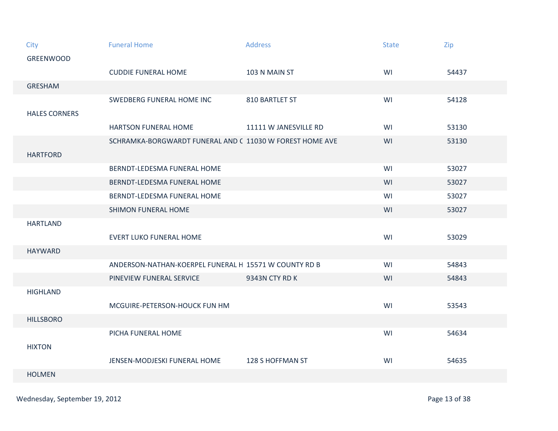| City                 | <b>Funeral Home</b>                                      | <b>Address</b>        | <b>State</b> | Zip   |
|----------------------|----------------------------------------------------------|-----------------------|--------------|-------|
| <b>GREENWOOD</b>     |                                                          |                       |              |       |
|                      | <b>CUDDIE FUNERAL HOME</b>                               | 103 N MAIN ST         | WI           | 54437 |
| <b>GRESHAM</b>       |                                                          |                       |              |       |
|                      | SWEDBERG FUNERAL HOME INC                                | 810 BARTLET ST        | WI           | 54128 |
| <b>HALES CORNERS</b> |                                                          |                       |              |       |
|                      | <b>HARTSON FUNERAL HOME</b>                              | 11111 W JANESVILLE RD | WI           | 53130 |
|                      | SCHRAMKA-BORGWARDT FUNERAL AND C 11030 W FOREST HOME AVE |                       | WI           | 53130 |
| <b>HARTFORD</b>      |                                                          |                       |              |       |
|                      | BERNDT-LEDESMA FUNERAL HOME                              |                       | WI           | 53027 |
|                      | BERNDT-LEDESMA FUNERAL HOME                              |                       | WI           | 53027 |
|                      | BERNDT-LEDESMA FUNERAL HOME                              |                       | WI           | 53027 |
|                      | <b>SHIMON FUNERAL HOME</b>                               |                       | WI           | 53027 |
| <b>HARTLAND</b>      |                                                          |                       |              |       |
|                      | <b>EVERT LUKO FUNERAL HOME</b>                           |                       | WI           | 53029 |
| <b>HAYWARD</b>       |                                                          |                       |              |       |
|                      | ANDERSON-NATHAN-KOERPEL FUNERAL H 15571 W COUNTY RD B    |                       | WI           | 54843 |
|                      | PINEVIEW FUNERAL SERVICE                                 | 9343N CTY RD K        | WI           | 54843 |
| <b>HIGHLAND</b>      |                                                          |                       |              |       |
|                      | MCGUIRE-PETERSON-HOUCK FUN HM                            |                       | WI           | 53543 |
| <b>HILLSBORO</b>     |                                                          |                       |              |       |
|                      | PICHA FUNERAL HOME                                       |                       | WI           | 54634 |
| <b>HIXTON</b>        |                                                          |                       |              |       |
|                      | JENSEN-MODJESKI FUNERAL HOME                             | 128 S HOFFMAN ST      | WI           | 54635 |
| <b>HOLMEN</b>        |                                                          |                       |              |       |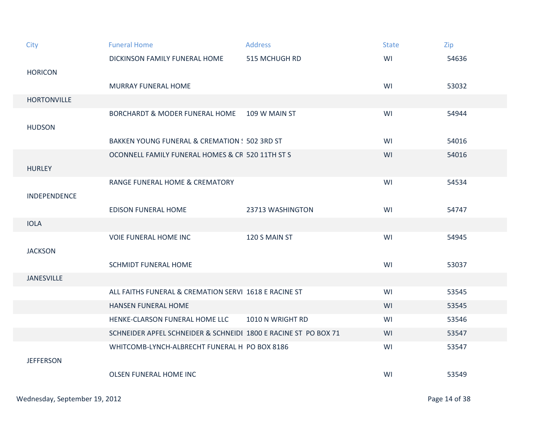| City               | <b>Funeral Home</b>                                             | <b>Address</b>   | <b>State</b> | Zip   |
|--------------------|-----------------------------------------------------------------|------------------|--------------|-------|
|                    | DICKINSON FAMILY FUNERAL HOME                                   | 515 MCHUGH RD    | WI           | 54636 |
| <b>HORICON</b>     |                                                                 |                  |              |       |
|                    | <b>MURRAY FUNERAL HOME</b>                                      |                  | WI           | 53032 |
| <b>HORTONVILLE</b> |                                                                 |                  |              |       |
|                    | BORCHARDT & MODER FUNERAL HOME 109 W MAIN ST                    |                  | WI           | 54944 |
| <b>HUDSON</b>      |                                                                 |                  |              |       |
|                    | BAKKEN YOUNG FUNERAL & CREMATION : 502 3RD ST                   |                  | WI           | 54016 |
|                    | OCONNELL FAMILY FUNERAL HOMES & CR 520 11TH ST S                |                  | WI           | 54016 |
| <b>HURLEY</b>      |                                                                 |                  |              |       |
|                    | <b>RANGE FUNERAL HOME &amp; CREMATORY</b>                       |                  | WI           | 54534 |
| INDEPENDENCE       |                                                                 |                  |              |       |
|                    | <b>EDISON FUNERAL HOME</b>                                      | 23713 WASHINGTON | WI           | 54747 |
| <b>IOLA</b>        |                                                                 |                  |              |       |
|                    | <b>VOIE FUNERAL HOME INC</b>                                    | 120 S MAIN ST    | WI           | 54945 |
| <b>JACKSON</b>     |                                                                 |                  |              |       |
|                    | <b>SCHMIDT FUNERAL HOME</b>                                     |                  | WI           | 53037 |
| <b>JANESVILLE</b>  |                                                                 |                  |              |       |
|                    | ALL FAITHS FUNERAL & CREMATION SERVI 1618 E RACINE ST           |                  | WI           | 53545 |
|                    | <b>HANSEN FUNERAL HOME</b>                                      |                  | WI           | 53545 |
|                    | HENKE-CLARSON FUNERAL HOME LLC                                  | 1010 N WRIGHT RD | WI           | 53546 |
|                    | SCHNEIDER APFEL SCHNEIDER & SCHNEIDI 1800 E RACINE ST PO BOX 71 |                  | WI           | 53547 |
|                    | WHITCOMB-LYNCH-ALBRECHT FUNERAL H PO BOX 8186                   |                  | WI           | 53547 |
| <b>JEFFERSON</b>   |                                                                 |                  |              |       |
|                    | <b>OLSEN FUNERAL HOME INC</b>                                   |                  | WI           | 53549 |
|                    |                                                                 |                  |              |       |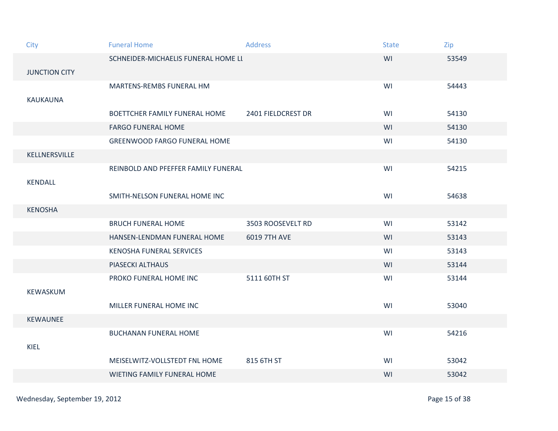| City                 | <b>Funeral Home</b>                 | <b>Address</b>     | <b>State</b> | Zip   |
|----------------------|-------------------------------------|--------------------|--------------|-------|
|                      | SCHNEIDER-MICHAELIS FUNERAL HOME LI |                    | WI           | 53549 |
| <b>JUNCTION CITY</b> |                                     |                    |              |       |
|                      | MARTENS-REMBS FUNERAL HM            |                    | WI           | 54443 |
| <b>KAUKAUNA</b>      |                                     |                    |              |       |
|                      | BOETTCHER FAMILY FUNERAL HOME       | 2401 FIELDCREST DR | WI           | 54130 |
|                      | <b>FARGO FUNERAL HOME</b>           |                    | WI           | 54130 |
|                      | <b>GREENWOOD FARGO FUNERAL HOME</b> |                    | WI           | 54130 |
| KELLNERSVILLE        |                                     |                    |              |       |
|                      | REINBOLD AND PFEFFER FAMILY FUNERAL |                    | WI           | 54215 |
| <b>KENDALL</b>       |                                     |                    |              |       |
|                      | SMITH-NELSON FUNERAL HOME INC       |                    | WI           | 54638 |
| <b>KENOSHA</b>       |                                     |                    |              |       |
|                      | <b>BRUCH FUNERAL HOME</b>           | 3503 ROOSEVELT RD  | WI           | 53142 |
|                      | HANSEN-LENDMAN FUNERAL HOME         | 6019 7TH AVE       | WI           | 53143 |
|                      | KENOSHA FUNERAL SERVICES            |                    | WI           | 53143 |
|                      | PIASECKI ALTHAUS                    |                    | WI           | 53144 |
|                      | PROKO FUNERAL HOME INC              | 5111 60TH ST       | WI           | 53144 |
| KEWASKUM             |                                     |                    |              |       |
|                      | MILLER FUNERAL HOME INC             |                    | WI           | 53040 |
| <b>KEWAUNEE</b>      |                                     |                    |              |       |
|                      | <b>BUCHANAN FUNERAL HOME</b>        |                    | WI           | 54216 |
| <b>KIEL</b>          |                                     |                    |              |       |
|                      | MEISELWITZ-VOLLSTEDT FNL HOME       | 815 6TH ST         | WI           | 53042 |
|                      | WIETING FAMILY FUNERAL HOME         |                    | WI           | 53042 |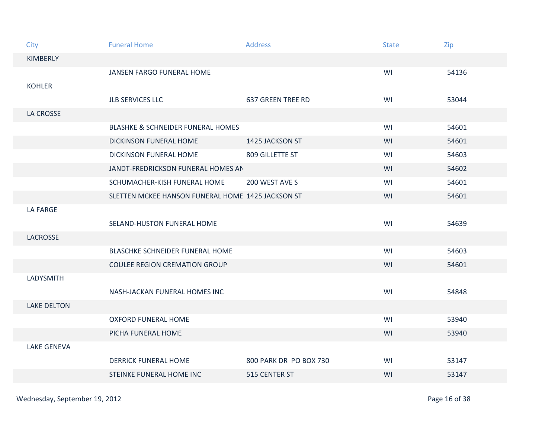| City               | <b>Funeral Home</b>                               | <b>Address</b>           | <b>State</b> | Zip   |
|--------------------|---------------------------------------------------|--------------------------|--------------|-------|
| KIMBERLY           |                                                   |                          |              |       |
|                    | JANSEN FARGO FUNERAL HOME                         |                          | WI           | 54136 |
| <b>KOHLER</b>      |                                                   |                          |              |       |
|                    | <b>JLB SERVICES LLC</b>                           | <b>637 GREEN TREE RD</b> | WI           | 53044 |
| LA CROSSE          |                                                   |                          |              |       |
|                    | <b>BLASHKE &amp; SCHNEIDER FUNERAL HOMES</b>      |                          | WI           | 54601 |
|                    | <b>DICKINSON FUNERAL HOME</b>                     | 1425 JACKSON ST          | WI           | 54601 |
|                    | <b>DICKINSON FUNERAL HOME</b>                     | 809 GILLETTE ST          | WI           | 54603 |
|                    | JANDT-FREDRICKSON FUNERAL HOMES AN                |                          | WI           | 54602 |
|                    | SCHUMACHER-KISH FUNERAL HOME                      | 200 WEST AVE S           | WI           | 54601 |
|                    | SLETTEN MCKEE HANSON FUNERAL HOME 1425 JACKSON ST |                          | WI           | 54601 |
| LA FARGE           |                                                   |                          |              |       |
|                    | SELAND-HUSTON FUNERAL HOME                        |                          | WI           | 54639 |
| <b>LACROSSE</b>    |                                                   |                          |              |       |
|                    | BLASCHKE SCHNEIDER FUNERAL HOME                   |                          | WI           | 54603 |
|                    | <b>COULEE REGION CREMATION GROUP</b>              |                          | WI           | 54601 |
| LADYSMITH          |                                                   |                          |              |       |
|                    | NASH-JACKAN FUNERAL HOMES INC                     |                          | WI           | 54848 |
| <b>LAKE DELTON</b> |                                                   |                          |              |       |
|                    | <b>OXFORD FUNERAL HOME</b>                        |                          | WI           | 53940 |
|                    | PICHA FUNERAL HOME                                |                          | WI           | 53940 |
| <b>LAKE GENEVA</b> |                                                   |                          |              |       |
|                    | <b>DERRICK FUNERAL HOME</b>                       | 800 PARK DR PO BOX 730   | WI           | 53147 |
|                    | <b>STEINKE FUNERAL HOME INC</b>                   | 515 CENTER ST            | WI           | 53147 |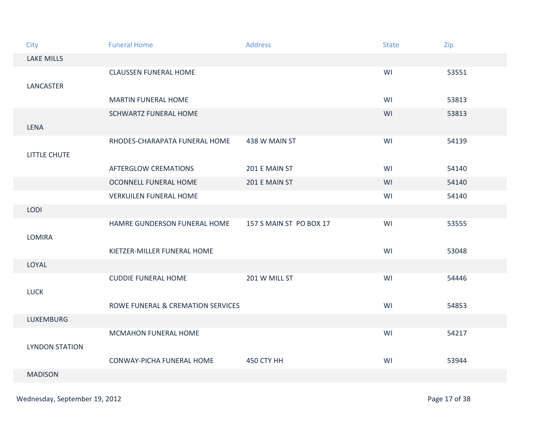| City                  | <b>Funeral Home</b>               | <b>Address</b>          | <b>State</b> | Zip   |
|-----------------------|-----------------------------------|-------------------------|--------------|-------|
| <b>LAKE MILLS</b>     |                                   |                         |              |       |
|                       | <b>CLAUSSEN FUNERAL HOME</b>      |                         | WI           | 53551 |
| <b>LANCASTER</b>      |                                   |                         |              |       |
|                       | <b>MARTIN FUNERAL HOME</b>        |                         | WI           | 53813 |
|                       | <b>SCHWARTZ FUNERAL HOME</b>      |                         | WI           | 53813 |
| <b>LENA</b>           |                                   |                         |              |       |
|                       | RHODES-CHARAPATA FUNERAL HOME     | 438 W MAIN ST           | WI           | 54139 |
| <b>LITTLE CHUTE</b>   |                                   |                         |              |       |
|                       | <b>AFTERGLOW CREMATIONS</b>       | 201 E MAIN ST           | WI           | 54140 |
|                       | OCONNELL FUNERAL HOME             | 201 E MAIN ST           | WI           | 54140 |
|                       | <b>VERKUILEN FUNERAL HOME</b>     |                         | WI           | 54140 |
| <b>LODI</b>           |                                   |                         |              |       |
|                       | HAMRE GUNDERSON FUNERAL HOME      | 157 S MAIN ST PO BOX 17 | WI           | 53555 |
| <b>LOMIRA</b>         |                                   |                         |              |       |
|                       | KIETZER-MILLER FUNERAL HOME       |                         | WI           | 53048 |
| LOYAL                 |                                   |                         |              |       |
|                       | <b>CUDDIE FUNERAL HOME</b>        | 201 W MILL ST           | WI           | 54446 |
| <b>LUCK</b>           |                                   |                         |              |       |
|                       | ROWE FUNERAL & CREMATION SERVICES |                         | WI           | 54853 |
| LUXEMBURG             |                                   |                         |              |       |
|                       | MCMAHON FUNERAL HOME              |                         | WI           | 54217 |
| <b>LYNDON STATION</b> |                                   |                         |              |       |
|                       | CONWAY-PICHA FUNERAL HOME         | 450 CTY HH              | WI           | 53944 |
| <b>MADISON</b>        |                                   |                         |              |       |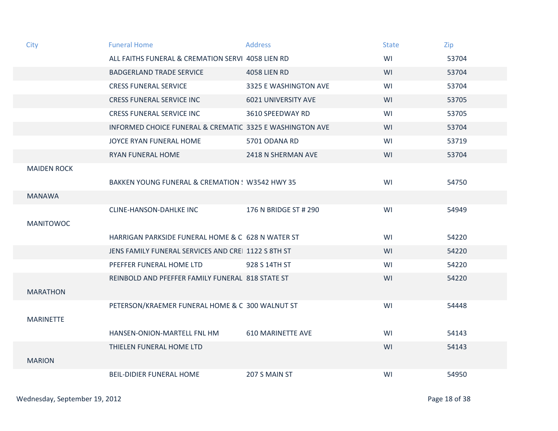| City               | <b>Funeral Home</b>                                      | <b>Address</b>             | <b>State</b> | Zip   |
|--------------------|----------------------------------------------------------|----------------------------|--------------|-------|
|                    | ALL FAITHS FUNERAL & CREMATION SERVI 4058 LIEN RD        |                            | WI           | 53704 |
|                    | <b>BADGERLAND TRADE SERVICE</b>                          | <b>4058 LIEN RD</b>        | WI           | 53704 |
|                    | <b>CRESS FUNERAL SERVICE</b>                             | 3325 E WASHINGTON AVE      | WI           | 53704 |
|                    | <b>CRESS FUNERAL SERVICE INC</b>                         | <b>6021 UNIVERSITY AVE</b> | WI           | 53705 |
|                    | <b>CRESS FUNERAL SERVICE INC</b>                         | 3610 SPEEDWAY RD           | WI           | 53705 |
|                    | INFORMED CHOICE FUNERAL & CREMATIC 3325 E WASHINGTON AVE |                            | WI           | 53704 |
|                    | JOYCE RYAN FUNERAL HOME                                  | 5701 ODANA RD              | WI           | 53719 |
|                    | <b>RYAN FUNERAL HOME</b>                                 | 2418 N SHERMAN AVE         | WI           | 53704 |
| <b>MAIDEN ROCK</b> |                                                          |                            |              |       |
|                    | BAKKEN YOUNG FUNERAL & CREMATION ! W3542 HWY 35          |                            | WI           | 54750 |
| <b>MANAWA</b>      |                                                          |                            |              |       |
|                    | <b>CLINE-HANSON-DAHLKE INC</b>                           | 176 N BRIDGE ST # 290      | WI           | 54949 |
| <b>MANITOWOC</b>   |                                                          |                            |              |       |
|                    | HARRIGAN PARKSIDE FUNERAL HOME & C 628 N WATER ST        |                            | WI           | 54220 |
|                    | JENS FAMILY FUNERAL SERVICES AND CRE 1122 S 8TH ST       |                            | WI           | 54220 |
|                    | PFEFFER FUNERAL HOME LTD                                 | 928 S 14TH ST              | WI           | 54220 |
|                    | REINBOLD AND PFEFFER FAMILY FUNERAL 818 STATE ST         |                            | WI           | 54220 |
| <b>MARATHON</b>    |                                                          |                            |              |       |
|                    | PETERSON/KRAEMER FUNERAL HOME & C 300 WALNUT ST          |                            | WI           | 54448 |
| <b>MARINETTE</b>   |                                                          |                            |              |       |
|                    | HANSEN-ONION-MARTELL FNL HM                              | <b>610 MARINETTE AVE</b>   | WI           | 54143 |
|                    | THIELEN FUNERAL HOME LTD                                 |                            | WI           | 54143 |
| <b>MARION</b>      |                                                          |                            |              |       |
|                    | <b>BEIL-DIDIER FUNERAL HOME</b>                          | 207 S MAIN ST              | WI           | 54950 |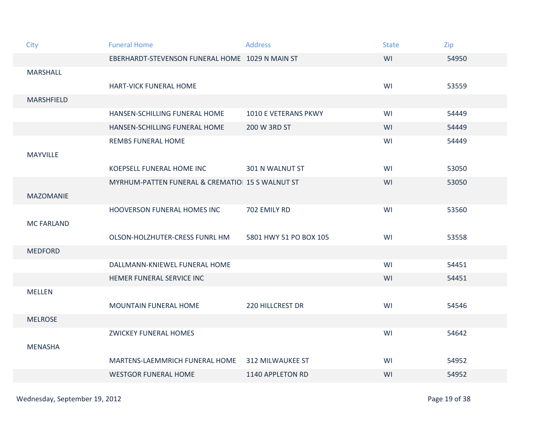| City              | <b>Funeral Home</b>                             | <b>Address</b>          | <b>State</b> | Zip   |
|-------------------|-------------------------------------------------|-------------------------|--------------|-------|
|                   | EBERHARDT-STEVENSON FUNERAL HOME 1029 N MAIN ST |                         | WI           | 54950 |
| <b>MARSHALL</b>   |                                                 |                         |              |       |
|                   | HART-VICK FUNERAL HOME                          |                         | WI           | 53559 |
| <b>MARSHFIELD</b> |                                                 |                         |              |       |
|                   | HANSEN-SCHILLING FUNERAL HOME                   | 1010 E VETERANS PKWY    | WI           | 54449 |
|                   | HANSEN-SCHILLING FUNERAL HOME                   | 200 W 3RD ST            | WI           | 54449 |
|                   | <b>REMBS FUNERAL HOME</b>                       |                         | WI           | 54449 |
| MAYVILLE          |                                                 |                         |              |       |
|                   | KOEPSELL FUNERAL HOME INC                       | 301 N WALNUT ST         | WI           | 53050 |
|                   | MYRHUM-PATTEN FUNERAL & CREMATIO 15 S WALNUT ST |                         | WI           | 53050 |
| <b>MAZOMANIE</b>  |                                                 |                         |              |       |
|                   | HOOVERSON FUNERAL HOMES INC                     | 702 EMILY RD            | WI           | 53560 |
| <b>MC FARLAND</b> |                                                 |                         |              |       |
|                   | OLSON-HOLZHUTER-CRESS FUNRL HM                  | 5801 HWY 51 PO BOX 105  | WI           | 53558 |
| <b>MEDFORD</b>    |                                                 |                         |              |       |
|                   | DALLMANN-KNIEWEL FUNERAL HOME                   |                         | WI           | 54451 |
|                   | HEMER FUNERAL SERVICE INC                       |                         | WI           | 54451 |
| <b>MELLEN</b>     |                                                 |                         |              |       |
|                   | MOUNTAIN FUNERAL HOME                           | <b>220 HILLCREST DR</b> | WI           | 54546 |
| <b>MELROSE</b>    |                                                 |                         |              |       |
|                   | <b>ZWICKEY FUNERAL HOMES</b>                    |                         | WI           | 54642 |
| <b>MENASHA</b>    |                                                 |                         |              |       |
|                   | MARTENS-LAEMMRICH FUNERAL HOME                  | <b>312 MILWAUKEE ST</b> | WI           | 54952 |
|                   | <b>WESTGOR FUNERAL HOME</b>                     | 1140 APPLETON RD        | WI           | 54952 |

Page 19 of 38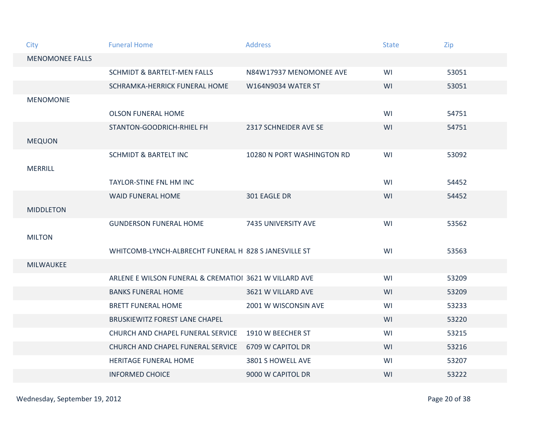| City                   | <b>Funeral Home</b>                                    | <b>Address</b>             | <b>State</b> | Zip   |
|------------------------|--------------------------------------------------------|----------------------------|--------------|-------|
| <b>MENOMONEE FALLS</b> |                                                        |                            |              |       |
|                        | <b>SCHMIDT &amp; BARTELT-MEN FALLS</b>                 | N84W17937 MENOMONEE AVE    | WI           | 53051 |
|                        | SCHRAMKA-HERRICK FUNERAL HOME                          | <b>W164N9034 WATER ST</b>  | WI           | 53051 |
| <b>MENOMONIE</b>       |                                                        |                            |              |       |
|                        | <b>OLSON FUNERAL HOME</b>                              |                            | WI           | 54751 |
|                        | STANTON-GOODRICH-RHIEL FH                              | 2317 SCHNEIDER AVE SE      | WI           | 54751 |
| <b>MEQUON</b>          |                                                        |                            |              |       |
|                        | <b>SCHMIDT &amp; BARTELT INC</b>                       | 10280 N PORT WASHINGTON RD | WI           | 53092 |
| <b>MERRILL</b>         |                                                        |                            |              |       |
|                        | TAYLOR-STINE FNL HM INC                                |                            | WI           | 54452 |
|                        | <b>WAID FUNERAL HOME</b>                               | 301 EAGLE DR               | WI           | 54452 |
| <b>MIDDLETON</b>       |                                                        |                            |              |       |
|                        | <b>GUNDERSON FUNERAL HOME</b>                          | 7435 UNIVERSITY AVE        | WI           | 53562 |
| <b>MILTON</b>          |                                                        |                            |              |       |
|                        | WHITCOMB-LYNCH-ALBRECHT FUNERAL H 828 S JANESVILLE ST  |                            | WI           | 53563 |
| <b>MILWAUKEE</b>       |                                                        |                            |              |       |
|                        | ARLENE E WILSON FUNERAL & CREMATIOI 3621 W VILLARD AVE |                            | WI           | 53209 |
|                        | <b>BANKS FUNERAL HOME</b>                              | 3621 W VILLARD AVE         | WI           | 53209 |
|                        | <b>BRETT FUNERAL HOME</b>                              | 2001 W WISCONSIN AVE       | WI           | 53233 |
|                        | <b>BRUSKIEWITZ FOREST LANE CHAPEL</b>                  |                            | WI           | 53220 |
|                        | CHURCH AND CHAPEL FUNERAL SERVICE                      | 1910 W BEECHER ST          | WI           | 53215 |
|                        | CHURCH AND CHAPEL FUNERAL SERVICE                      | 6709 W CAPITOL DR          | WI           | 53216 |
|                        | <b>HERITAGE FUNERAL HOME</b>                           | 3801 S HOWELL AVE          | WI           | 53207 |
|                        | <b>INFORMED CHOICE</b>                                 | 9000 W CAPITOL DR          | WI           | 53222 |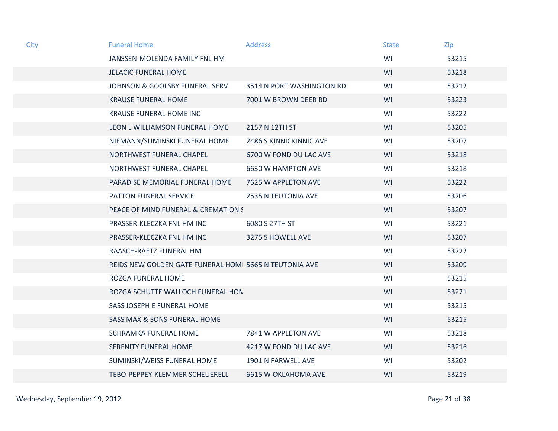| City | <b>Funeral Home</b>                                   | Address                    | <b>State</b> | Zip   |
|------|-------------------------------------------------------|----------------------------|--------------|-------|
|      | JANSSEN-MOLENDA FAMILY FNL HM                         |                            | WI           | 53215 |
|      | <b>JELACIC FUNERAL HOME</b>                           |                            | WI           | 53218 |
|      | JOHNSON & GOOLSBY FUNERAL SERV                        | 3514 N PORT WASHINGTON RD  | WI           | 53212 |
|      | <b>KRAUSE FUNERAL HOME</b>                            | 7001 W BROWN DEER RD       | WI           | 53223 |
|      | <b>KRAUSE FUNERAL HOME INC</b>                        |                            | WI           | 53222 |
|      | LEON L WILLIAMSON FUNERAL HOME                        | 2157 N 12TH ST             | WI           | 53205 |
|      | NIEMANN/SUMINSKI FUNERAL HOME                         | 2486 S KINNICKINNIC AVE    | WI           | 53207 |
|      | NORTHWEST FUNERAL CHAPEL                              | 6700 W FOND DU LAC AVE     | WI           | 53218 |
|      | NORTHWEST FUNERAL CHAPEL                              | 6630 W HAMPTON AVE         | WI           | 53218 |
|      | PARADISE MEMORIAL FUNERAL HOME                        | 7625 W APPLETON AVE        | WI           | 53222 |
|      | PATTON FUNERAL SERVICE                                | 2535 N TEUTONIA AVE        | WI           | 53206 |
|      | PEACE OF MIND FUNERAL & CREMATION !                   |                            | WI           | 53207 |
|      | PRASSER-KLECZKA FNL HM INC                            | 6080 S 27TH ST             | WI           | 53221 |
|      | PRASSER-KLECZKA FNL HM INC                            | 3275 S HOWELL AVE          | WI           | 53207 |
|      | RAASCH-RAETZ FUNERAL HM                               |                            | WI           | 53222 |
|      | REIDS NEW GOLDEN GATE FUNERAL HOM 5665 N TEUTONIA AVE |                            | WI           | 53209 |
|      | ROZGA FUNERAL HOME                                    |                            | WI           | 53215 |
|      | ROZGA SCHUTTE WALLOCH FUNERAL HON                     |                            | WI           | 53221 |
|      | SASS JOSEPH E FUNERAL HOME                            |                            | WI           | 53215 |
|      | <b>SASS MAX &amp; SONS FUNERAL HOME</b>               |                            | WI           | 53215 |
|      | SCHRAMKA FUNERAL HOME                                 | 7841 W APPLETON AVE        | WI           | 53218 |
|      | <b>SERENITY FUNERAL HOME</b>                          | 4217 W FOND DU LAC AVE     | WI           | 53216 |
|      | SUMINSKI/WEISS FUNERAL HOME                           | 1901 N FARWELL AVE         | WI           | 53202 |
|      | TEBO-PEPPEY-KLEMMER SCHEUERELL                        | <b>6615 W OKLAHOMA AVE</b> | WI           | 53219 |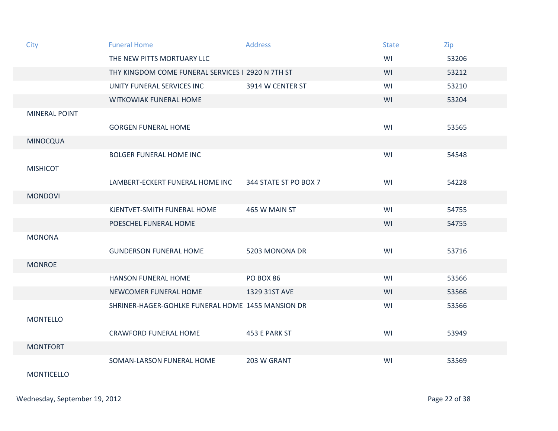| City                 | <b>Funeral Home</b>                               | <b>Address</b>        | <b>State</b> | Zip   |
|----------------------|---------------------------------------------------|-----------------------|--------------|-------|
|                      | THE NEW PITTS MORTUARY LLC                        |                       | WI           | 53206 |
|                      | THY KINGDOM COME FUNERAL SERVICES   2920 N 7TH ST |                       | WI           | 53212 |
|                      | UNITY FUNERAL SERVICES INC                        | 3914 W CENTER ST      | WI           | 53210 |
|                      | WITKOWIAK FUNERAL HOME                            |                       | WI           | 53204 |
| <b>MINERAL POINT</b> |                                                   |                       |              |       |
|                      | <b>GORGEN FUNERAL HOME</b>                        |                       | WI           | 53565 |
| <b>MINOCQUA</b>      |                                                   |                       |              |       |
|                      | <b>BOLGER FUNERAL HOME INC</b>                    |                       | WI           | 54548 |
| <b>MISHICOT</b>      |                                                   |                       |              |       |
|                      | LAMBERT-ECKERT FUNERAL HOME INC                   | 344 STATE ST PO BOX 7 | WI           | 54228 |
| <b>MONDOVI</b>       |                                                   |                       |              |       |
|                      | KJENTVET-SMITH FUNERAL HOME                       | 465 W MAIN ST         | WI           | 54755 |
|                      | POESCHEL FUNERAL HOME                             |                       | WI           | 54755 |
| <b>MONONA</b>        |                                                   |                       |              |       |
|                      | <b>GUNDERSON FUNERAL HOME</b>                     | 5203 MONONA DR        | WI           | 53716 |
| <b>MONROE</b>        |                                                   |                       |              |       |
|                      | <b>HANSON FUNERAL HOME</b>                        | <b>PO BOX 86</b>      | WI           | 53566 |
|                      | NEWCOMER FUNERAL HOME                             | 1329 31ST AVE         | WI           | 53566 |
|                      | SHRINER-HAGER-GOHLKE FUNERAL HOME 1455 MANSION DR |                       | WI           | 53566 |
| <b>MONTELLO</b>      |                                                   |                       |              |       |
|                      | <b>CRAWFORD FUNERAL HOME</b>                      | 453 E PARK ST         | WI           | 53949 |
| <b>MONTFORT</b>      |                                                   |                       |              |       |
|                      | SOMAN-LARSON FUNERAL HOME                         | 203 W GRANT           | WI           | 53569 |
| <b>MONTICELLO</b>    |                                                   |                       |              |       |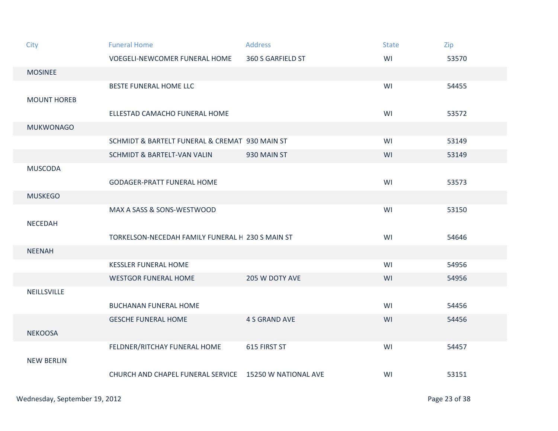| City               | <b>Funeral Home</b>                              | <b>Address</b>       | <b>State</b> | Zip   |
|--------------------|--------------------------------------------------|----------------------|--------------|-------|
|                    | <b>VOEGELI-NEWCOMER FUNERAL HOME</b>             | 360 S GARFIELD ST    | WI           | 53570 |
| <b>MOSINEE</b>     |                                                  |                      |              |       |
|                    | BESTE FUNERAL HOME LLC                           |                      | WI           | 54455 |
| <b>MOUNT HOREB</b> |                                                  |                      |              |       |
|                    | ELLESTAD CAMACHO FUNERAL HOME                    |                      | WI           | 53572 |
| <b>MUKWONAGO</b>   |                                                  |                      |              |       |
|                    | SCHMIDT & BARTELT FUNERAL & CREMAT 930 MAIN ST   |                      | WI           | 53149 |
|                    | SCHMIDT & BARTELT-VAN VALIN                      | 930 MAIN ST          | WI           | 53149 |
| <b>MUSCODA</b>     |                                                  |                      |              |       |
|                    | <b>GODAGER-PRATT FUNERAL HOME</b>                |                      | WI           | 53573 |
| <b>MUSKEGO</b>     |                                                  |                      |              |       |
|                    | MAX A SASS & SONS-WESTWOOD                       |                      | WI           | 53150 |
| <b>NECEDAH</b>     |                                                  |                      |              |       |
|                    | TORKELSON-NECEDAH FAMILY FUNERAL H 230 S MAIN ST |                      | WI           | 54646 |
| <b>NEENAH</b>      |                                                  |                      |              |       |
|                    | <b>KESSLER FUNERAL HOME</b>                      |                      | WI           | 54956 |
|                    | <b>WESTGOR FUNERAL HOME</b>                      | 205 W DOTY AVE       | WI           | 54956 |
| NEILLSVILLE        |                                                  |                      |              |       |
|                    | <b>BUCHANAN FUNERAL HOME</b>                     |                      | WI           | 54456 |
|                    | <b>GESCHE FUNERAL HOME</b>                       | <b>4 S GRAND AVE</b> | WI           | 54456 |
| <b>NEKOOSA</b>     |                                                  |                      |              |       |
|                    | FELDNER/RITCHAY FUNERAL HOME                     | 615 FIRST ST         | WI           | 54457 |
| <b>NEW BERLIN</b>  |                                                  |                      |              |       |
|                    | CHURCH AND CHAPEL FUNERAL SERVICE                | 15250 W NATIONAL AVE | WI           | 53151 |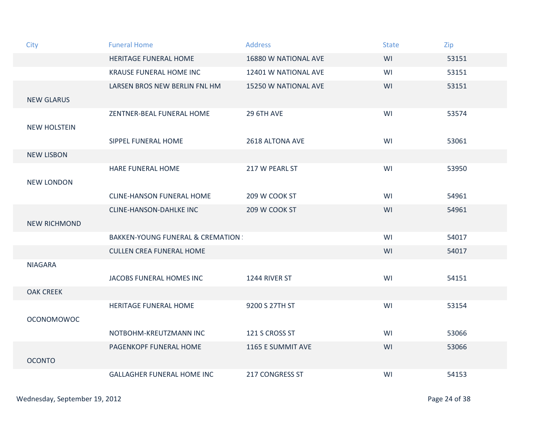| City                | <b>Funeral Home</b>                          | <b>Address</b>         | <b>State</b> | Zip   |
|---------------------|----------------------------------------------|------------------------|--------------|-------|
|                     | HERITAGE FUNERAL HOME                        | 16880 W NATIONAL AVE   | WI           | 53151 |
|                     | <b>KRAUSE FUNERAL HOME INC</b>               | 12401 W NATIONAL AVE   | WI           | 53151 |
|                     | LARSEN BROS NEW BERLIN FNL HM                | 15250 W NATIONAL AVE   | WI           | 53151 |
| <b>NEW GLARUS</b>   |                                              |                        |              |       |
|                     | ZENTNER-BEAL FUNERAL HOME                    | <b>29 6TH AVE</b>      | WI           | 53574 |
| <b>NEW HOLSTEIN</b> |                                              |                        |              |       |
|                     | SIPPEL FUNERAL HOME                          | 2618 ALTONA AVE        | WI           | 53061 |
| <b>NEW LISBON</b>   |                                              |                        |              |       |
|                     | <b>HARE FUNERAL HOME</b>                     | 217 W PEARL ST         | WI           | 53950 |
| <b>NEW LONDON</b>   |                                              |                        |              |       |
|                     | <b>CLINE-HANSON FUNERAL HOME</b>             | 209 W COOK ST          | WI           | 54961 |
|                     | <b>CLINE-HANSON-DAHLKE INC</b>               | 209 W COOK ST          | WI           | 54961 |
| <b>NEW RICHMOND</b> |                                              |                        |              |       |
|                     | <b>BAKKEN-YOUNG FUNERAL &amp; CREMATION:</b> |                        | WI           | 54017 |
|                     | <b>CULLEN CREA FUNERAL HOME</b>              |                        | WI           | 54017 |
| <b>NIAGARA</b>      |                                              |                        |              |       |
|                     | JACOBS FUNERAL HOMES INC                     | 1244 RIVER ST          | WI           | 54151 |
| <b>OAK CREEK</b>    |                                              |                        |              |       |
|                     | HERITAGE FUNERAL HOME                        | 9200 S 27TH ST         | WI           | 53154 |
| <b>OCONOMOWOC</b>   |                                              |                        |              |       |
|                     | NOTBOHM-KREUTZMANN INC                       | 121 S CROSS ST         | WI           | 53066 |
|                     | PAGENKOPF FUNERAL HOME                       | 1165 E SUMMIT AVE      | WI           | 53066 |
| <b>OCONTO</b>       |                                              |                        |              |       |
|                     | <b>GALLAGHER FUNERAL HOME INC</b>            | <b>217 CONGRESS ST</b> | WI           | 54153 |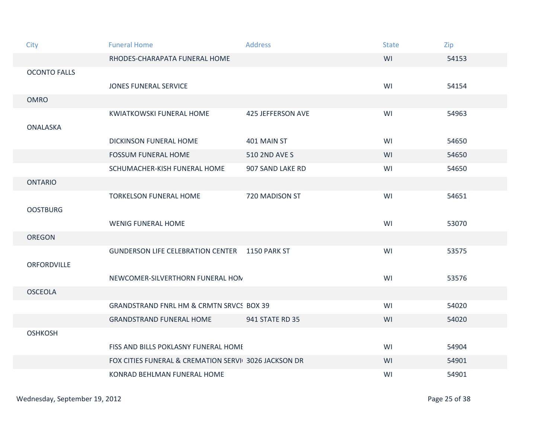| City                | <b>Funeral Home</b>                                  | <b>Address</b>           | <b>State</b> | Zip   |
|---------------------|------------------------------------------------------|--------------------------|--------------|-------|
|                     | RHODES-CHARAPATA FUNERAL HOME                        |                          | WI           | 54153 |
| <b>OCONTO FALLS</b> |                                                      |                          |              |       |
|                     | <b>JONES FUNERAL SERVICE</b>                         |                          | WI           | 54154 |
| <b>OMRO</b>         |                                                      |                          |              |       |
| <b>ONALASKA</b>     | <b>KWIATKOWSKI FUNERAL HOME</b>                      | <b>425 JEFFERSON AVE</b> | WI           | 54963 |
|                     | <b>DICKINSON FUNERAL HOME</b>                        | 401 MAIN ST              | WI           | 54650 |
|                     | <b>FOSSUM FUNERAL HOME</b>                           | 510 2ND AVE S            | WI           | 54650 |
|                     | SCHUMACHER-KISH FUNERAL HOME                         | 907 SAND LAKE RD         | WI           | 54650 |
| <b>ONTARIO</b>      |                                                      |                          |              |       |
|                     | <b>TORKELSON FUNERAL HOME</b>                        | 720 MADISON ST           | WI           | 54651 |
| <b>OOSTBURG</b>     |                                                      |                          |              |       |
|                     | <b>WENIG FUNERAL HOME</b>                            |                          | WI           | 53070 |
| <b>OREGON</b>       |                                                      |                          |              |       |
|                     | <b>GUNDERSON LIFE CELEBRATION CENTER</b>             | 1150 PARK ST             | WI           | 53575 |
| ORFORDVILLE         |                                                      |                          |              |       |
|                     | NEWCOMER-SILVERTHORN FUNERAL HON                     |                          | WI           | 53576 |
| <b>OSCEOLA</b>      |                                                      |                          |              |       |
|                     | <b>GRANDSTRAND FNRL HM &amp; CRMTN SRVCS BOX 39</b>  |                          | WI           | 54020 |
|                     | <b>GRANDSTRAND FUNERAL HOME</b>                      | 941 STATE RD 35          | WI           | 54020 |
| <b>OSHKOSH</b>      |                                                      |                          |              |       |
|                     | FISS AND BILLS POKLASNY FUNERAL HOME                 |                          | WI           | 54904 |
|                     | FOX CITIES FUNERAL & CREMATION SERVI 3026 JACKSON DR |                          | WI           | 54901 |
|                     | <b>KONRAD BEHLMAN FUNERAL HOME</b>                   |                          | WI           | 54901 |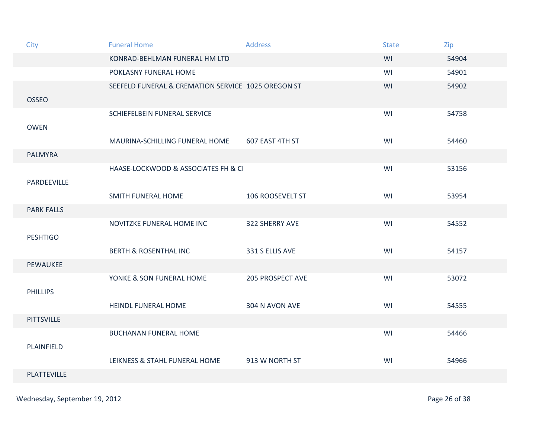| City               | <b>Funeral Home</b>                                | <b>Address</b>          | <b>State</b> | Zip   |
|--------------------|----------------------------------------------------|-------------------------|--------------|-------|
|                    | KONRAD-BEHLMAN FUNERAL HM LTD                      |                         | WI           | 54904 |
|                    | POKLASNY FUNERAL HOME                              |                         | WI           | 54901 |
|                    | SEEFELD FUNERAL & CREMATION SERVICE 1025 OREGON ST |                         | WI           | 54902 |
| <b>OSSEO</b>       |                                                    |                         |              |       |
|                    | SCHIEFELBEIN FUNERAL SERVICE                       |                         | WI           | 54758 |
| <b>OWEN</b>        |                                                    |                         |              |       |
|                    | MAURINA-SCHILLING FUNERAL HOME                     | 607 EAST 4TH ST         | WI           | 54460 |
| <b>PALMYRA</b>     |                                                    |                         |              |       |
|                    | HAASE-LOCKWOOD & ASSOCIATES FH & C                 |                         | WI           | 53156 |
| PARDEEVILLE        |                                                    |                         |              |       |
|                    | SMITH FUNERAL HOME                                 | 106 ROOSEVELT ST        | WI           | 53954 |
| <b>PARK FALLS</b>  |                                                    |                         |              |       |
|                    | NOVITZKE FUNERAL HOME INC                          | 322 SHERRY AVE          | WI           | 54552 |
| <b>PESHTIGO</b>    |                                                    |                         |              |       |
|                    | <b>BERTH &amp; ROSENTHAL INC</b>                   | 331 S ELLIS AVE         | WI           | 54157 |
| PEWAUKEE           |                                                    |                         |              |       |
|                    | YONKE & SON FUNERAL HOME                           | <b>205 PROSPECT AVE</b> | WI           | 53072 |
| <b>PHILLIPS</b>    |                                                    |                         |              |       |
|                    | <b>HEINDL FUNERAL HOME</b>                         | 304 N AVON AVE          | WI           | 54555 |
| <b>PITTSVILLE</b>  |                                                    |                         |              |       |
|                    | <b>BUCHANAN FUNERAL HOME</b>                       |                         | WI           | 54466 |
| PLAINFIELD         |                                                    |                         |              |       |
|                    | LEIKNESS & STAHL FUNERAL HOME                      | 913 W NORTH ST          | WI           | 54966 |
| <b>PLATTEVILLE</b> |                                                    |                         |              |       |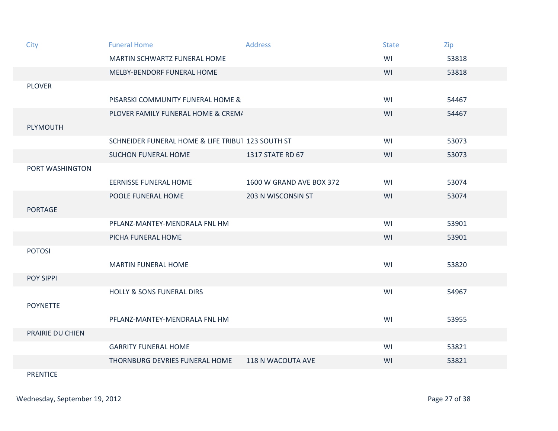| City             | <b>Funeral Home</b>                               | <b>Address</b>           | <b>State</b> | Zip   |
|------------------|---------------------------------------------------|--------------------------|--------------|-------|
|                  | MARTIN SCHWARTZ FUNERAL HOME                      |                          | WI           | 53818 |
|                  | MELBY-BENDORF FUNERAL HOME                        |                          | WI           | 53818 |
| <b>PLOVER</b>    |                                                   |                          |              |       |
|                  | PISARSKI COMMUNITY FUNERAL HOME &                 |                          | WI           | 54467 |
|                  | PLOVER FAMILY FUNERAL HOME & CREM/                |                          | WI           | 54467 |
| PLYMOUTH         |                                                   |                          |              |       |
|                  | SCHNEIDER FUNERAL HOME & LIFE TRIBUT 123 SOUTH ST |                          | WI           | 53073 |
|                  | <b>SUCHON FUNERAL HOME</b>                        | 1317 STATE RD 67         | WI           | 53073 |
| PORT WASHINGTON  |                                                   |                          |              |       |
|                  | <b>EERNISSE FUNERAL HOME</b>                      | 1600 W GRAND AVE BOX 372 | WI           | 53074 |
|                  | POOLE FUNERAL HOME                                | 203 N WISCONSIN ST       | WI           | 53074 |
| <b>PORTAGE</b>   |                                                   |                          |              |       |
|                  | PFLANZ-MANTEY-MENDRALA FNL HM                     |                          | WI           | 53901 |
|                  | PICHA FUNERAL HOME                                |                          | WI           | 53901 |
| <b>POTOSI</b>    |                                                   |                          |              |       |
|                  | <b>MARTIN FUNERAL HOME</b>                        |                          | WI           | 53820 |
| POY SIPPI        |                                                   |                          |              |       |
|                  | <b>HOLLY &amp; SONS FUNERAL DIRS</b>              |                          | WI           | 54967 |
| <b>POYNETTE</b>  |                                                   |                          |              |       |
|                  | PFLANZ-MANTEY-MENDRALA FNL HM                     |                          | WI           | 53955 |
| PRAIRIE DU CHIEN |                                                   |                          |              |       |
|                  | <b>GARRITY FUNERAL HOME</b>                       |                          | WI           | 53821 |
|                  | THORNBURG DEVRIES FUNERAL HOME                    | 118 N WACOUTA AVE        | WI           | 53821 |
|                  |                                                   |                          |              |       |

PRENTICE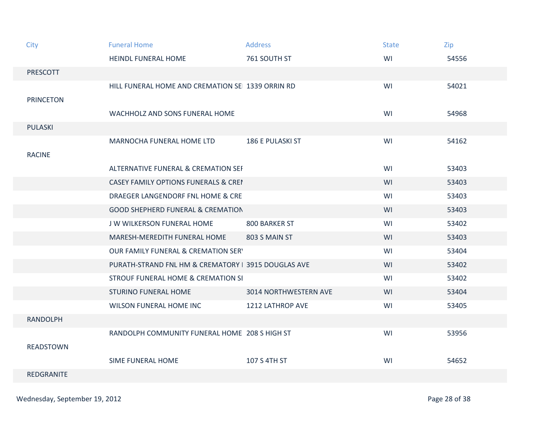| City             | <b>Funeral Home</b>                                 | <b>Address</b>               | <b>State</b> | Zip   |
|------------------|-----------------------------------------------------|------------------------------|--------------|-------|
|                  | <b>HEINDL FUNERAL HOME</b>                          | 761 SOUTH ST                 | WI           | 54556 |
| <b>PRESCOTT</b>  |                                                     |                              |              |       |
|                  | HILL FUNERAL HOME AND CREMATION SE 1339 ORRIN RD    |                              | WI           | 54021 |
| <b>PRINCETON</b> |                                                     |                              |              |       |
|                  | WACHHOLZ AND SONS FUNERAL HOME                      |                              | WI           | 54968 |
| <b>PULASKI</b>   |                                                     |                              |              |       |
|                  | MARNOCHA FUNERAL HOME LTD                           | 186 E PULASKI ST             | WI           | 54162 |
| <b>RACINE</b>    |                                                     |                              |              |       |
|                  | ALTERNATIVE FUNERAL & CREMATION SEI                 |                              | WI           | 53403 |
|                  | <b>CASEY FAMILY OPTIONS FUNERALS &amp; CREI</b>     |                              | WI           | 53403 |
|                  | DRAEGER LANGENDORF FNL HOME & CRE                   |                              | WI           | 53403 |
|                  | <b>GOOD SHEPHERD FUNERAL &amp; CREMATION</b>        |                              | WI           | 53403 |
|                  | J W WILKERSON FUNERAL HOME                          | 800 BARKER ST                | WI           | 53402 |
|                  | MARESH-MEREDITH FUNERAL HOME                        | 803 S MAIN ST                | WI           | 53403 |
|                  | <b>OUR FAMILY FUNERAL &amp; CREMATION SERY</b>      |                              | WI           | 53404 |
|                  | PURATH-STRAND FNL HM & CREMATORY   3915 DOUGLAS AVE |                              | WI           | 53402 |
|                  | <b>STROUF FUNERAL HOME &amp; CREMATION SI</b>       |                              | WI           | 53402 |
|                  | <b>STURINO FUNERAL HOME</b>                         | <b>3014 NORTHWESTERN AVE</b> | WI           | 53404 |
|                  | WILSON FUNERAL HOME INC                             | 1212 LATHROP AVE             | WI           | 53405 |
| <b>RANDOLPH</b>  |                                                     |                              |              |       |
|                  | RANDOLPH COMMUNITY FUNERAL HOME 208 S HIGH ST       |                              | WI           | 53956 |
| <b>READSTOWN</b> |                                                     |                              |              |       |
|                  | <b>SIME FUNERAL HOME</b>                            | 107 S 4TH ST                 | WI           | 54652 |
| REDGRANITE       |                                                     |                              |              |       |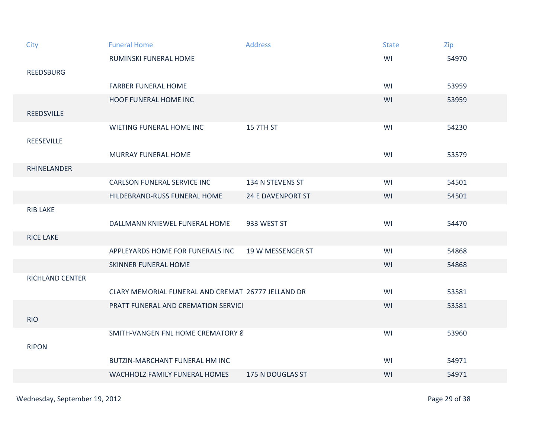| City               | <b>Funeral Home</b>                                | <b>Address</b>           | <b>State</b> | Zip   |
|--------------------|----------------------------------------------------|--------------------------|--------------|-------|
|                    | RUMINSKI FUNERAL HOME                              |                          | WI           | 54970 |
| <b>REEDSBURG</b>   |                                                    |                          |              |       |
|                    | <b>FARBER FUNERAL HOME</b>                         |                          | WI           | 53959 |
|                    | <b>HOOF FUNERAL HOME INC</b>                       |                          | WI           | 53959 |
| <b>REEDSVILLE</b>  |                                                    |                          |              |       |
|                    | WIETING FUNERAL HOME INC                           | <b>15 7TH ST</b>         | WI           | 54230 |
| <b>REESEVILLE</b>  |                                                    |                          |              |       |
|                    | <b>MURRAY FUNERAL HOME</b>                         |                          | WI           | 53579 |
| <b>RHINELANDER</b> |                                                    |                          |              |       |
|                    | <b>CARLSON FUNERAL SERVICE INC</b>                 | 134 N STEVENS ST         | WI           | 54501 |
|                    | HILDEBRAND-RUSS FUNERAL HOME                       | <b>24 E DAVENPORT ST</b> | WI           | 54501 |
| <b>RIB LAKE</b>    |                                                    |                          |              |       |
|                    | DALLMANN KNIEWEL FUNERAL HOME                      | 933 WEST ST              | WI           | 54470 |
| <b>RICE LAKE</b>   |                                                    |                          |              |       |
|                    | APPLEYARDS HOME FOR FUNERALS INC                   | 19 W MESSENGER ST        | WI           | 54868 |
|                    | <b>SKINNER FUNERAL HOME</b>                        |                          | WI           | 54868 |
| RICHLAND CENTER    |                                                    |                          |              |       |
|                    | CLARY MEMORIAL FUNERAL AND CREMAT 26777 JELLAND DR |                          | WI           | 53581 |
|                    | PRATT FUNERAL AND CREMATION SERVICI                |                          | WI           | 53581 |
| <b>RIO</b>         |                                                    |                          |              |       |
|                    | <b>SMITH-VANGEN FNL HOME CREMATORY &amp;</b>       |                          | WI           | 53960 |
| <b>RIPON</b>       |                                                    |                          |              |       |
|                    | <b>BUTZIN-MARCHANT FUNERAL HM INC</b>              |                          | WI           | 54971 |
|                    | WACHHOLZ FAMILY FUNERAL HOMES                      | 175 N DOUGLAS ST         | WI           | 54971 |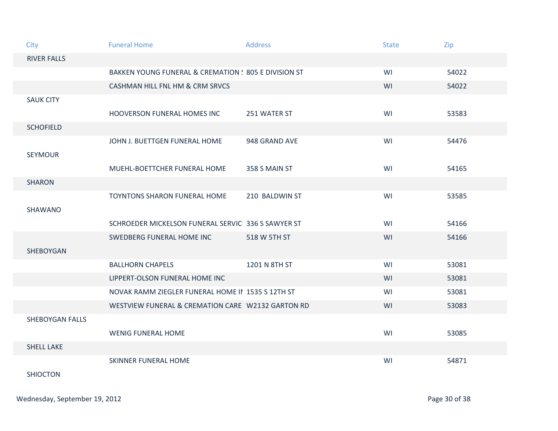| City                   | <b>Funeral Home</b>                                  | <b>Address</b> | <b>State</b> | Zip   |
|------------------------|------------------------------------------------------|----------------|--------------|-------|
| <b>RIVER FALLS</b>     |                                                      |                |              |       |
|                        | BAKKEN YOUNG FUNERAL & CREMATION : 805 E DIVISION ST |                | WI           | 54022 |
|                        | CASHMAN HILL FNL HM & CRM SRVCS                      |                | WI           | 54022 |
| <b>SAUK CITY</b>       |                                                      |                |              |       |
|                        | HOOVERSON FUNERAL HOMES INC                          | 251 WATER ST   | WI           | 53583 |
| <b>SCHOFIELD</b>       |                                                      |                |              |       |
|                        | JOHN J. BUETTGEN FUNERAL HOME                        | 948 GRAND AVE  | WI           | 54476 |
| <b>SEYMOUR</b>         |                                                      |                |              |       |
|                        | MUEHL-BOETTCHER FUNERAL HOME                         | 358 S MAIN ST  | WI           | 54165 |
| <b>SHARON</b>          |                                                      |                |              |       |
|                        | <b>TOYNTONS SHARON FUNERAL HOME</b>                  | 210 BALDWIN ST | WI           | 53585 |
| SHAWANO                |                                                      |                |              |       |
|                        | SCHROEDER MICKELSON FUNERAL SERVIC 336 S SAWYER ST   |                | WI           | 54166 |
|                        | SWEDBERG FUNERAL HOME INC                            | 518 W 5TH ST   | WI           | 54166 |
| SHEBOYGAN              |                                                      |                |              |       |
|                        | <b>BALLHORN CHAPELS</b>                              | 1201 N 8TH ST  | WI           | 53081 |
|                        | LIPPERT-OLSON FUNERAL HOME INC                       |                | WI           | 53081 |
|                        | NOVAK RAMM ZIEGLER FUNERAL HOME II 1535 S 12TH ST    |                | WI           | 53081 |
|                        | WESTVIEW FUNERAL & CREMATION CARE W2132 GARTON RD    |                | WI           | 53083 |
| <b>SHEBOYGAN FALLS</b> |                                                      |                |              |       |
|                        | <b>WENIG FUNERAL HOME</b>                            |                | WI           | 53085 |
| <b>SHELL LAKE</b>      |                                                      |                |              |       |
|                        | <b>SKINNER FUNERAL HOME</b>                          |                | WI           | 54871 |
| <b>SHIOCTON</b>        |                                                      |                |              |       |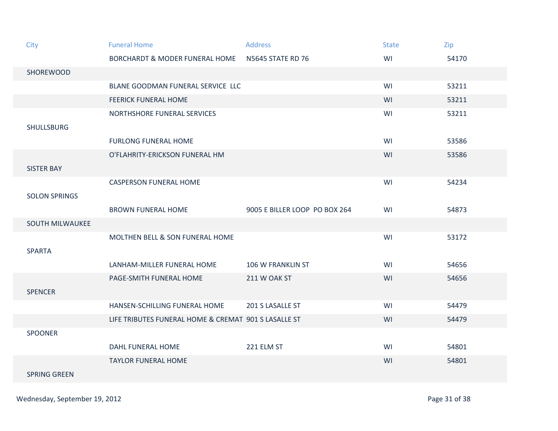| City                   | <b>Funeral Home</b>                                  | <b>Address</b>                | <b>State</b> | Zip   |
|------------------------|------------------------------------------------------|-------------------------------|--------------|-------|
|                        | <b>BORCHARDT &amp; MODER FUNERAL HOME</b>            | <b>N5645 STATE RD 76</b>      | WI           | 54170 |
| SHOREWOOD              |                                                      |                               |              |       |
|                        | BLANE GOODMAN FUNERAL SERVICE LLC                    |                               | WI           | 53211 |
|                        | <b>FEERICK FUNERAL HOME</b>                          |                               | WI           | 53211 |
| <b>SHULLSBURG</b>      | NORTHSHORE FUNERAL SERVICES                          |                               | WI           | 53211 |
|                        | <b>FURLONG FUNERAL HOME</b>                          |                               | WI           | 53586 |
| <b>SISTER BAY</b>      | O'FLAHRITY-ERICKSON FUNERAL HM                       |                               | WI           | 53586 |
| <b>SOLON SPRINGS</b>   | <b>CASPERSON FUNERAL HOME</b>                        |                               | WI           | 54234 |
|                        | <b>BROWN FUNERAL HOME</b>                            | 9005 E BILLER LOOP PO BOX 264 | WI           | 54873 |
| <b>SOUTH MILWAUKEE</b> |                                                      |                               |              |       |
| <b>SPARTA</b>          | MOLTHEN BELL & SON FUNERAL HOME                      |                               | WI           | 53172 |
|                        | LANHAM-MILLER FUNERAL HOME                           | 106 W FRANKLIN ST             | WI           | 54656 |
| <b>SPENCER</b>         | PAGE-SMITH FUNERAL HOME                              | 211 W OAK ST                  | WI           | 54656 |
|                        | HANSEN-SCHILLING FUNERAL HOME                        | 201 S LASALLE ST              | WI           | 54479 |
|                        | LIFE TRIBUTES FUNERAL HOME & CREMAT 901 S LASALLE ST |                               | WI           | 54479 |
| <b>SPOONER</b>         |                                                      |                               |              |       |
|                        | <b>DAHL FUNERAL HOME</b>                             | 221 ELM ST                    | WI           | 54801 |
| <b>SPRING GREEN</b>    | <b>TAYLOR FUNERAL HOME</b>                           |                               | WI           | 54801 |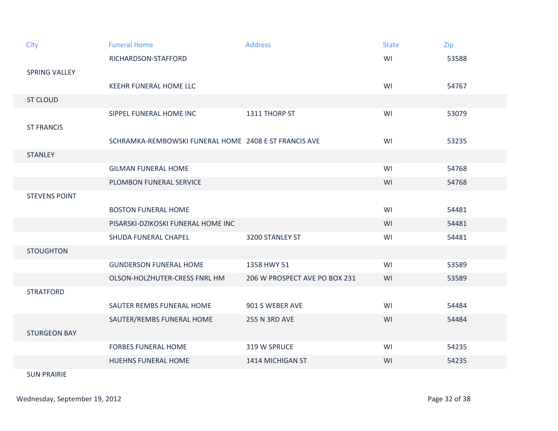| City                 | <b>Funeral Home</b>                                   | <b>Address</b>                | <b>State</b> | Zip   |
|----------------------|-------------------------------------------------------|-------------------------------|--------------|-------|
|                      | RICHARDSON-STAFFORD                                   |                               | WI           | 53588 |
| SPRING VALLEY        |                                                       |                               |              |       |
|                      | <b>KEEHR FUNERAL HOME LLC</b>                         |                               | WI           | 54767 |
| <b>ST CLOUD</b>      |                                                       |                               |              |       |
|                      | SIPPEL FUNERAL HOME INC                               | 1311 THORP ST                 | WI           | 53079 |
| <b>ST FRANCIS</b>    |                                                       |                               |              |       |
|                      | SCHRAMKA-REMBOWSKI FUNERAL HOME 2408 E ST FRANCIS AVE |                               | WI           | 53235 |
| <b>STANLEY</b>       |                                                       |                               |              |       |
|                      | <b>GILMAN FUNERAL HOME</b>                            |                               | WI           | 54768 |
|                      | PLOMBON FUNERAL SERVICE                               |                               | WI           | 54768 |
| <b>STEVENS POINT</b> |                                                       |                               |              |       |
|                      | <b>BOSTON FUNERAL HOME</b>                            |                               | WI           | 54481 |
|                      | PISARSKI-DZIKOSKI FUNERAL HOME INC                    |                               | WI           | 54481 |
|                      | SHUDA FUNERAL CHAPEL                                  | 3200 STANLEY ST               | WI           | 54481 |
| <b>STOUGHTON</b>     |                                                       |                               |              |       |
|                      | <b>GUNDERSON FUNERAL HOME</b>                         | 1358 HWY 51                   | WI           | 53589 |
|                      | OLSON-HOLZHUTER-CRESS FNRL HM                         | 206 W PROSPECT AVE PO BOX 231 | WI           | 53589 |
| <b>STRATFORD</b>     |                                                       |                               |              |       |
|                      | SAUTER REMBS FUNERAL HOME                             | 901 S WEBER AVE               | WI           | 54484 |
|                      | SAUTER/REMBS FUNERAL HOME                             | <b>255 N 3RD AVE</b>          | WI           | 54484 |
| <b>STURGEON BAY</b>  |                                                       |                               |              |       |
|                      | <b>FORBES FUNERAL HOME</b>                            | 319 W SPRUCE                  | WI           | 54235 |
|                      | <b>HUEHNS FUNERAL HOME</b>                            | 1414 MICHIGAN ST              | WI           | 54235 |
|                      |                                                       |                               |              |       |

SUN PRAIRIE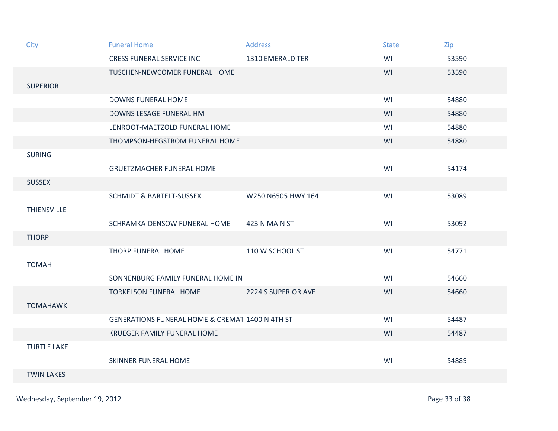| City               | <b>Funeral Home</b>                             | <b>Address</b>      | <b>State</b> | Zip   |
|--------------------|-------------------------------------------------|---------------------|--------------|-------|
|                    | <b>CRESS FUNERAL SERVICE INC</b>                | 1310 EMERALD TER    | WI           | 53590 |
|                    | TUSCHEN-NEWCOMER FUNERAL HOME                   |                     | WI           | 53590 |
| <b>SUPERIOR</b>    |                                                 |                     |              |       |
|                    | <b>DOWNS FUNERAL HOME</b>                       |                     | WI           | 54880 |
|                    | DOWNS LESAGE FUNERAL HM                         |                     | WI           | 54880 |
|                    | LENROOT-MAETZOLD FUNERAL HOME                   |                     | WI           | 54880 |
|                    | THOMPSON-HEGSTROM FUNERAL HOME                  |                     | WI           | 54880 |
| <b>SURING</b>      |                                                 |                     |              |       |
|                    | <b>GRUETZMACHER FUNERAL HOME</b>                |                     | WI           | 54174 |
| <b>SUSSEX</b>      |                                                 |                     |              |       |
|                    | <b>SCHMIDT &amp; BARTELT-SUSSEX</b>             | W250 N6505 HWY 164  | WI           | 53089 |
| <b>THIENSVILLE</b> |                                                 |                     |              |       |
|                    | SCHRAMKA-DENSOW FUNERAL HOME                    | 423 N MAIN ST       | WI           | 53092 |
| <b>THORP</b>       |                                                 |                     |              |       |
|                    | THORP FUNERAL HOME                              | 110 W SCHOOL ST     | WI           | 54771 |
| <b>TOMAH</b>       |                                                 |                     |              |       |
|                    | SONNENBURG FAMILY FUNERAL HOME IN               |                     | WI           | 54660 |
|                    | <b>TORKELSON FUNERAL HOME</b>                   | 2224 S SUPERIOR AVE | WI           | 54660 |
| <b>TOMAHAWK</b>    |                                                 |                     |              |       |
|                    | GENERATIONS FUNERAL HOME & CREMA1 1400 N 4TH ST |                     | WI           | 54487 |
|                    | KRUEGER FAMILY FUNERAL HOME                     |                     | WI           | 54487 |
| <b>TURTLE LAKE</b> |                                                 |                     |              |       |
|                    | <b>SKINNER FUNERAL HOME</b>                     |                     | WI           | 54889 |
| <b>TWIN LAKES</b>  |                                                 |                     |              |       |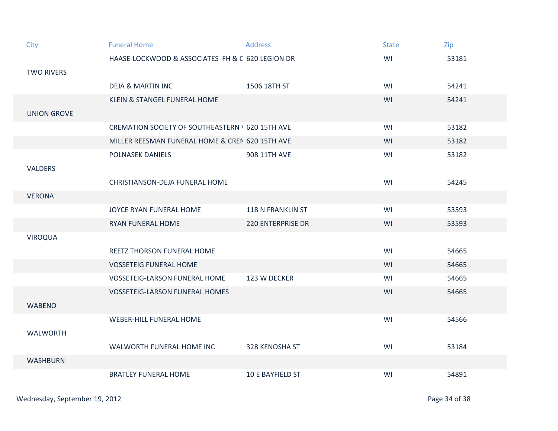| City               | <b>Funeral Home</b>                                     | <b>Address</b>           | <b>State</b> | Zip   |
|--------------------|---------------------------------------------------------|--------------------------|--------------|-------|
|                    | HAASE-LOCKWOOD & ASSOCIATES FH & C 620 LEGION DR        |                          | WI           | 53181 |
| <b>TWO RIVERS</b>  |                                                         |                          |              |       |
|                    | <b>DEJA &amp; MARTIN INC</b>                            | 1506 18TH ST             | WI           | 54241 |
|                    | <b>KLEIN &amp; STANGEL FUNERAL HOME</b>                 |                          | WI           | 54241 |
| <b>UNION GROVE</b> |                                                         |                          |              |       |
|                    | <b>CREMATION SOCIETY OF SOUTHEASTERN ' 620 15TH AVE</b> |                          | WI           | 53182 |
|                    | MILLER REESMAN FUNERAL HOME & CREI 620 15TH AVE         |                          | WI           | 53182 |
|                    | POLNASEK DANIELS                                        | 908 11TH AVE             | WI           | 53182 |
| <b>VALDERS</b>     |                                                         |                          |              |       |
|                    | CHRISTIANSON-DEJA FUNERAL HOME                          |                          | WI           | 54245 |
| <b>VERONA</b>      |                                                         |                          |              |       |
|                    | JOYCE RYAN FUNERAL HOME                                 | 118 N FRANKLIN ST        | WI           | 53593 |
|                    | <b>RYAN FUNERAL HOME</b>                                | <b>220 ENTERPRISE DR</b> | WI           | 53593 |
| <b>VIROQUA</b>     |                                                         |                          |              |       |
|                    | <b>REETZ THORSON FUNERAL HOME</b>                       |                          | WI           | 54665 |
|                    | <b>VOSSETEIG FUNERAL HOME</b>                           |                          | WI           | 54665 |
|                    | <b>VOSSETEIG-LARSON FUNERAL HOME</b>                    | 123 W DECKER             | WI           | 54665 |
|                    | <b>VOSSETEIG-LARSON FUNERAL HOMES</b>                   |                          | WI           | 54665 |
| <b>WABENO</b>      |                                                         |                          |              |       |
|                    | <b>WEBER-HILL FUNERAL HOME</b>                          |                          | WI           | 54566 |
| <b>WALWORTH</b>    |                                                         |                          |              |       |
|                    | WALWORTH FUNERAL HOME INC                               | 328 KENOSHA ST           | WI           | 53184 |
| <b>WASHBURN</b>    |                                                         |                          |              |       |
|                    | <b>BRATLEY FUNERAL HOME</b>                             | 10 E BAYFIELD ST         | WI           | 54891 |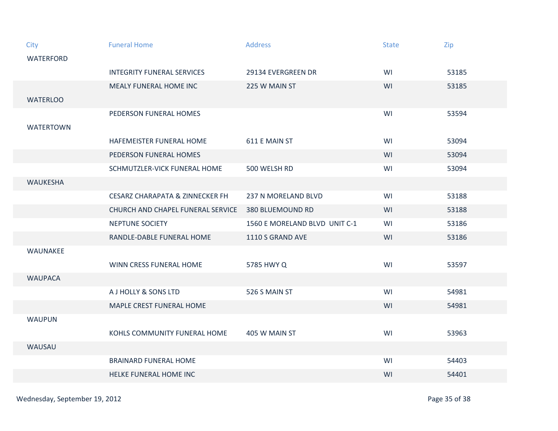| City             | <b>Funeral Home</b>                        | <b>Address</b>                | <b>State</b> | Zip   |
|------------------|--------------------------------------------|-------------------------------|--------------|-------|
| <b>WATERFORD</b> |                                            |                               |              |       |
|                  | <b>INTEGRITY FUNERAL SERVICES</b>          | 29134 EVERGREEN DR            | WI           | 53185 |
|                  | <b>MEALY FUNERAL HOME INC</b>              | 225 W MAIN ST                 | WI           | 53185 |
| <b>WATERLOO</b>  |                                            |                               |              |       |
|                  | PEDERSON FUNERAL HOMES                     |                               | WI           | 53594 |
| <b>WATERTOWN</b> |                                            |                               |              |       |
|                  | HAFEMEISTER FUNERAL HOME                   | 611 E MAIN ST                 | WI           | 53094 |
|                  | PEDERSON FUNERAL HOMES                     |                               | WI           | 53094 |
|                  | SCHMUTZLER-VICK FUNERAL HOME               | 500 WELSH RD                  | WI           | 53094 |
| WAUKESHA         |                                            |                               |              |       |
|                  | <b>CESARZ CHARAPATA &amp; ZINNECKER FH</b> | 237 N MORELAND BLVD           | WI           | 53188 |
|                  | CHURCH AND CHAPEL FUNERAL SERVICE          | <b>380 BLUEMOUND RD</b>       | WI           | 53188 |
|                  | NEPTUNE SOCIETY                            | 1560 E MORELAND BLVD UNIT C-1 | WI           | 53186 |
|                  | RANDLE-DABLE FUNERAL HOME                  | 1110 S GRAND AVE              | WI           | 53186 |
| WAUNAKEE         |                                            |                               |              |       |
|                  | WINN CRESS FUNERAL HOME                    | 5785 HWY Q                    | WI           | 53597 |
| <b>WAUPACA</b>   |                                            |                               |              |       |
|                  | A J HOLLY & SONS LTD                       | 526 S MAIN ST                 | WI           | 54981 |
|                  | MAPLE CREST FUNERAL HOME                   |                               | WI           | 54981 |
| <b>WAUPUN</b>    |                                            |                               |              |       |
|                  | KOHLS COMMUNITY FUNERAL HOME               | 405 W MAIN ST                 | WI           | 53963 |
| WAUSAU           |                                            |                               |              |       |
|                  | <b>BRAINARD FUNERAL HOME</b>               |                               | WI           | 54403 |
|                  | HELKE FUNERAL HOME INC                     |                               | WI           | 54401 |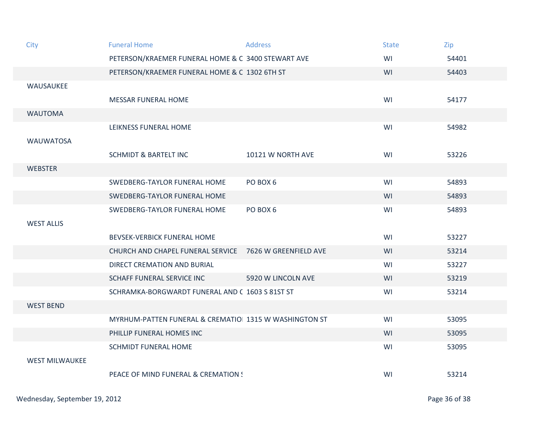| City                  | <b>Funeral Home</b>                                     | <b>Address</b>     | <b>State</b> | Zip   |
|-----------------------|---------------------------------------------------------|--------------------|--------------|-------|
|                       | PETERSON/KRAEMER FUNERAL HOME & C 3400 STEWART AVE      |                    | WI           | 54401 |
|                       | PETERSON/KRAEMER FUNERAL HOME & C 1302 6TH ST           |                    | WI           | 54403 |
| WAUSAUKEE             |                                                         |                    |              |       |
|                       | <b>MESSAR FUNERAL HOME</b>                              |                    | WI           | 54177 |
| <b>WAUTOMA</b>        |                                                         |                    |              |       |
|                       | LEIKNESS FUNERAL HOME                                   |                    | WI           | 54982 |
| <b>WAUWATOSA</b>      |                                                         |                    |              |       |
|                       | <b>SCHMIDT &amp; BARTELT INC</b>                        | 10121 W NORTH AVE  | WI           | 53226 |
| <b>WEBSTER</b>        |                                                         |                    |              |       |
|                       | SWEDBERG-TAYLOR FUNERAL HOME                            | PO BOX 6           | WI           | 54893 |
|                       | SWEDBERG-TAYLOR FUNERAL HOME                            |                    | WI           | 54893 |
|                       | SWEDBERG-TAYLOR FUNERAL HOME                            | PO BOX 6           | WI           | 54893 |
| <b>WEST ALLIS</b>     |                                                         |                    |              |       |
|                       | BEVSEK-VERBICK FUNERAL HOME                             |                    | WI           | 53227 |
|                       | CHURCH AND CHAPEL FUNERAL SERVICE 7626 W GREENFIELD AVE |                    | WI           | 53214 |
|                       | DIRECT CREMATION AND BURIAL                             |                    | WI           | 53227 |
|                       | SCHAFF FUNERAL SERVICE INC                              | 5920 W LINCOLN AVE | WI           | 53219 |
|                       | SCHRAMKA-BORGWARDT FUNERAL AND C 1603 S 81ST ST         |                    | WI           | 53214 |
| <b>WEST BEND</b>      |                                                         |                    |              |       |
|                       | MYRHUM-PATTEN FUNERAL & CREMATIO 1315 W WASHINGTON ST   |                    | WI           | 53095 |
|                       | PHILLIP FUNERAL HOMES INC                               |                    | WI           | 53095 |
|                       | <b>SCHMIDT FUNERAL HOME</b>                             |                    | WI           | 53095 |
| <b>WEST MILWAUKEE</b> |                                                         |                    |              |       |
|                       | PEACE OF MIND FUNERAL & CREMATION !                     |                    | WI           | 53214 |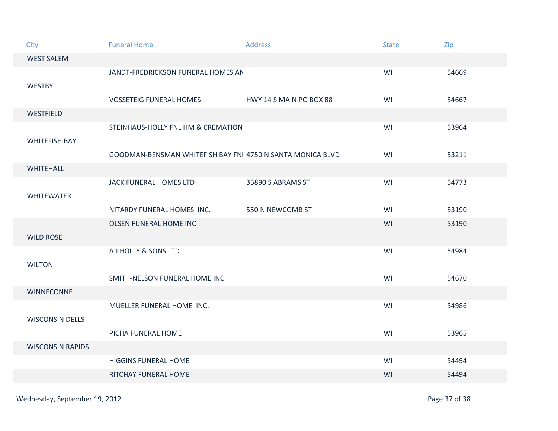| City                    | <b>Funeral Home</b>                                       | <b>Address</b>          | <b>State</b> | Zip   |
|-------------------------|-----------------------------------------------------------|-------------------------|--------------|-------|
| <b>WEST SALEM</b>       |                                                           |                         |              |       |
| <b>WESTBY</b>           | JANDT-FREDRICKSON FUNERAL HOMES AN                        |                         | WI           | 54669 |
|                         | <b>VOSSETEIG FUNERAL HOMES</b>                            | HWY 14 S MAIN PO BOX 88 | WI           | 54667 |
| WESTFIELD               |                                                           |                         |              |       |
| <b>WHITEFISH BAY</b>    | STEINHAUS-HOLLY FNL HM & CREMATION                        |                         | WI           | 53964 |
|                         | GOODMAN-BENSMAN WHITEFISH BAY FN 4750 N SANTA MONICA BLVD |                         | WI           | 53211 |
| <b>WHITEHALL</b>        |                                                           |                         |              |       |
|                         | JACK FUNERAL HOMES LTD                                    | 35890 S ABRAMS ST       | WI           | 54773 |
| <b>WHITEWATER</b>       |                                                           |                         |              |       |
|                         | NITARDY FUNERAL HOMES INC.                                | 550 N NEWCOMB ST        | WI           | 53190 |
| <b>WILD ROSE</b>        | <b>OLSEN FUNERAL HOME INC</b>                             |                         | WI           | 53190 |
|                         | A J HOLLY & SONS LTD                                      |                         | WI           | 54984 |
| <b>WILTON</b>           |                                                           |                         |              |       |
|                         | SMITH-NELSON FUNERAL HOME INC                             |                         | WI           | 54670 |
| <b>WINNECONNE</b>       |                                                           |                         |              |       |
| <b>WISCONSIN DELLS</b>  | MUELLER FUNERAL HOME INC.                                 |                         | WI           | 54986 |
|                         | PICHA FUNERAL HOME                                        |                         | WI           | 53965 |
| <b>WISCONSIN RAPIDS</b> |                                                           |                         |              |       |
|                         | <b>HIGGINS FUNERAL HOME</b>                               |                         | WI           | 54494 |
|                         | RITCHAY FUNERAL HOME                                      |                         | WI           | 54494 |